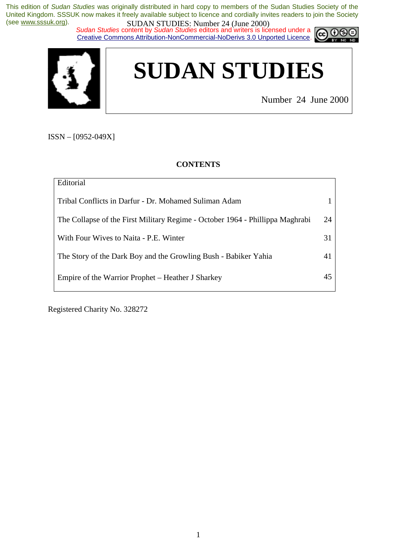*Sudan Studies* content by *Sudan Studies* editors and writers is licensed under a Creative Commons Attribution-NonCommercial-NoDerivs 3.0 Unported Licence.



# **SUDAN STUDIES**

Number 24 June 2000

ISSN – [0952-049X]

**CONTENTS** 

| Editorial                                                                     |    |
|-------------------------------------------------------------------------------|----|
| Tribal Conflicts in Darfur - Dr. Mohamed Suliman Adam                         |    |
| The Collapse of the First Military Regime - October 1964 - Phillippa Maghrabi | 24 |
| With Four Wives to Naita - P.E. Winter                                        | 31 |
| The Story of the Dark Boy and the Growling Bush - Babiker Yahia               | 41 |
| Empire of the Warrior Prophet – Heather J Sharkey                             | 45 |

Registered Charity No. 328272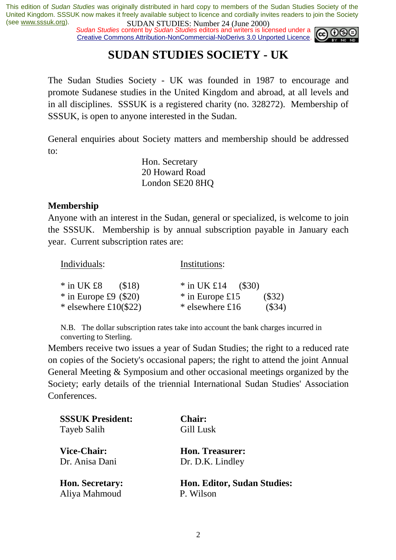**SUDAN STUDIES:** NUTTER (June 2000)<br>Sudan Studies content by Sudan Studies editors and writers is licensed under a Creative Commons Attribution-NonCommercial-NoDerivs 3.0 Unported Licence.



# **SUDAN STUDIES SOCIETY - UK**

The Sudan Studies Society - UK was founded in 1987 to encourage and promote Sudanese studies in the United Kingdom and abroad, at all levels and in all disciplines. SSSUK is a registered charity (no. 328272). Membership of SSSUK, is open to anyone interested in the Sudan.

General enquiries about Society matters and membership should be addressed to:

> Hon. Secretary 20 Howard Road London SE20 8HQ

#### **Membership**

Anyone with an interest in the Sudan, general or specialized, is welcome to join the SSSUK. Membership is by annual subscription payable in January each year. Current subscription rates are:

| Individuals:            | Institutions:                 |
|-------------------------|-------------------------------|
| $*$ in UK £8<br>(S18)   | * in UK £14 $($ \$30)         |
| $*$ in Europe £9 (\$20) | $(\$32)$<br>$*$ in Europe £15 |
| * elsewhere $£10(\$22)$ | (\$34)<br>$*$ elsewhere £16   |

N.B. The dollar subscription rates take into account the bank charges incurred in converting to Sterling.

Members receive two issues a year of Sudan Studies; the right to a reduced rate on copies of the Society's occasional papers; the right to attend the joint Annual General Meeting & Symposium and other occasional meetings organized by the Society; early details of the triennial International Sudan Studies' Association Conferences.

| <b>SSSUK President:</b> | <b>Chair:</b>               |
|-------------------------|-----------------------------|
| Tayeb Salih             | Gill Lusk                   |
| <b>Vice-Chair:</b>      | Hon. Treasurer:             |
| Dr. Anisa Dani          | Dr. D.K. Lindley            |
| <b>Hon. Secretary:</b>  | Hon. Editor, Sudan Studies: |
| Aliya Mahmoud           | P. Wilson                   |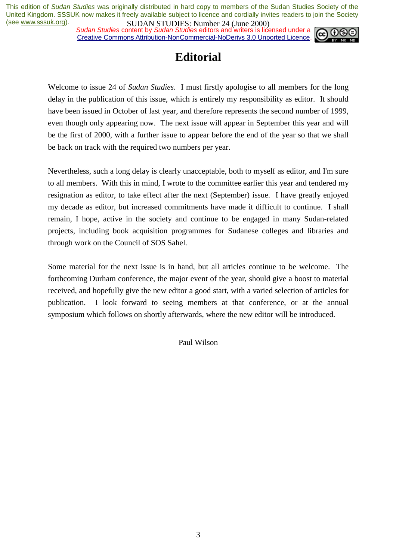*Sudan Studies* content by *Sudan Studies* editors and writers is licensed under a Creative Commons Attribution-NonCommercial-NoDerivs 3.0 Unported Licence.



# **Editorial**

Welcome to issue 24 of *Sudan Studies*. I must firstly apologise to all members for the long delay in the publication of this issue, which is entirely my responsibility as editor. It should have been issued in October of last year, and therefore represents the second number of 1999, even though only appearing now. The next issue will appear in September this year and will be the first of 2000, with a further issue to appear before the end of the year so that we shall be back on track with the required two numbers per year.

Nevertheless, such a long delay is clearly unacceptable, both to myself as editor, and I'm sure to all members. With this in mind, I wrote to the committee earlier this year and tendered my resignation as editor, to take effect after the next (September) issue. I have greatly enjoyed my decade as editor, but increased commitments have made it difficult to continue. I shall remain, I hope, active in the society and continue to be engaged in many Sudan-related projects, including book acquisition programmes for Sudanese colleges and libraries and through work on the Council of SOS Sahel.

Some material for the next issue is in hand, but all articles continue to be welcome. The forthcoming Durham conference, the major event of the year, should give a boost to material received, and hopefully give the new editor a good start, with a varied selection of articles for publication. I look forward to seeing members at that conference, or at the annual symposium which follows on shortly afterwards, where the new editor will be introduced.

Paul Wilson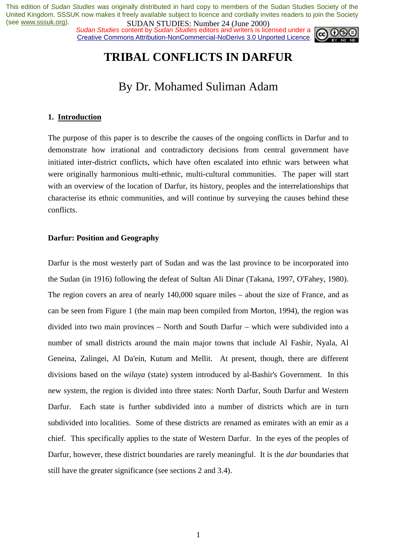**SUDAN STUDIES:** NUTTUBER 24 (June 2000)<br>Sudan Studies content by Sudan Studies editors and writers is licensed under a Creative Commons Attribution-NonCommercial-NoDerivs 3.0 Unported Licence.



# **TRIBAL CONFLICTS IN DARFUR**

## By Dr. Mohamed Suliman Adam

#### **1. Introduction**

The purpose of this paper is to describe the causes of the ongoing conflicts in Darfur and to demonstrate how irrational and contradictory decisions from central government have initiated inter-district conflicts, which have often escalated into ethnic wars between what were originally harmonious multi-ethnic, multi-cultural communities. The paper will start with an overview of the location of Darfur, its history, peoples and the interrelationships that characterise its ethnic communities, and will continue by surveying the causes behind these conflicts.

#### **Darfur: Position and Geography**

Darfur is the most westerly part of Sudan and was the last province to be incorporated into the Sudan (in 1916) following the defeat of Sultan Ali Dinar (Takana, 1997, O'Fahey, 1980). The region covers an area of nearly 140,000 square miles – about the size of France, and as can be seen from Figure 1 (the main map been compiled from Morton, 1994), the region was divided into two main provinces – North and South Darfur – which were subdivided into a number of small districts around the main major towns that include Al Fashir, Nyala, Al Geneina, Zalingei, Al Da'ein, Kutum and Mellit. At present, though, there are different divisions based on the *wilaya* (state) system introduced by al-Bashir's Government. In this new system, the region is divided into three states: North Darfur, South Darfur and Western Darfur. Each state is further subdivided into a number of districts which are in turn subdivided into localities. Some of these districts are renamed as emirates with an emir as a chief. This specifically applies to the state of Western Darfur. In the eyes of the peoples of Darfur, however, these district boundaries are rarely meaningful. It is the *dar* boundaries that still have the greater significance (see sections 2 and 3.4).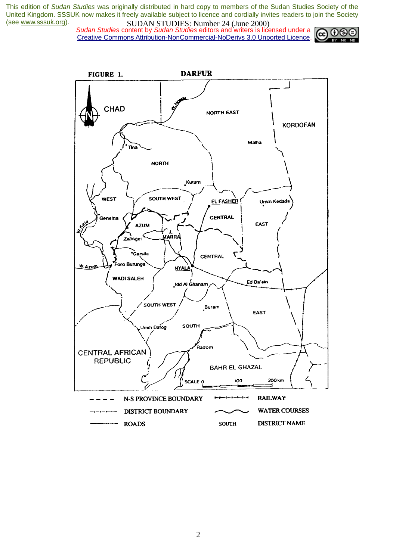*Sudan Studies* content by *Sudan Studies* editors and writers is licensed under a Creative Commons Attribution-NonCommercial-NoDerivs 3.0 Unported Licence.



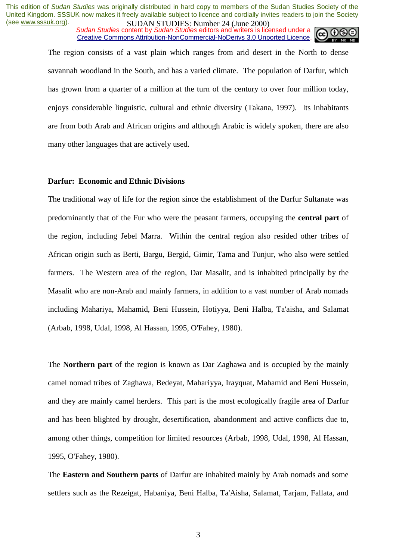*Sudan Studies* content by *Sudan Studies* editors and writers is licensed under a Creative Commons Attribution-NonCommercial-NoDerivs 3.0 Unported Licence.

The region consists of a vast plain which ranges from arid desert in the North to dense savannah woodland in the South, and has a varied climate. The population of Darfur, which has grown from a quarter of a million at the turn of the century to over four million today, enjoys considerable linguistic, cultural and ethnic diversity (Takana, 1997). Its inhabitants are from both Arab and African origins and although Arabic is widely spoken, there are also many other languages that are actively used.

#### **Darfur: Economic and Ethnic Divisions**

The traditional way of life for the region since the establishment of the Darfur Sultanate was predominantly that of the Fur who were the peasant farmers, occupying the **central part** of the region, including Jebel Marra. Within the central region also resided other tribes of African origin such as Berti, Bargu, Bergid, Gimir, Tama and Tunjur, who also were settled farmers. The Western area of the region, Dar Masalit, and is inhabited principally by the Masalit who are non-Arab and mainly farmers, in addition to a vast number of Arab nomads including Mahariya, Mahamid, Beni Hussein, Hotiyya, Beni Halba, Ta'aisha, and Salamat (Arbab, 1998, Udal, 1998, Al Hassan, 1995, O'Fahey, 1980).

The **Northern part** of the region is known as Dar Zaghawa and is occupied by the mainly camel nomad tribes of Zaghawa, Bedeyat, Mahariyya, Irayquat, Mahamid and Beni Hussein, and they are mainly camel herders. This part is the most ecologically fragile area of Darfur and has been blighted by drought, desertification, abandonment and active conflicts due to, among other things, competition for limited resources (Arbab, 1998, Udal, 1998, Al Hassan, 1995, O'Fahey, 1980).

The **Eastern and Southern parts** of Darfur are inhabited mainly by Arab nomads and some settlers such as the Rezeigat, Habaniya, Beni Halba, Ta'Aisha, Salamat, Tarjam, Fallata, and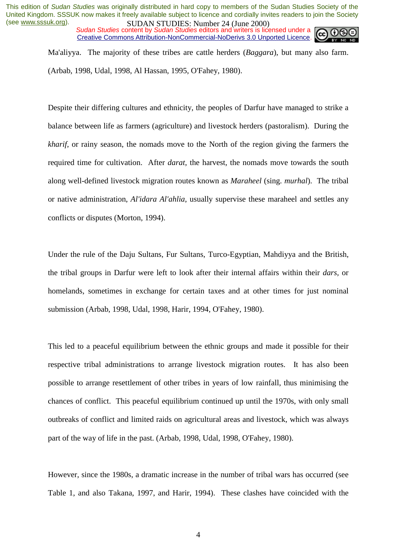*Sudan Studies* content by *Sudan Studies* editors and writers is licensed under a Creative Commons Attribution-NonCommercial-NoDerivs 3.0 Unported Licence.



Ma'aliyya. The majority of these tribes are cattle herders (*Baggara*), but many also farm. (Arbab, 1998, Udal, 1998, Al Hassan, 1995, O'Fahey, 1980).

Despite their differing cultures and ethnicity, the peoples of Darfur have managed to strike a balance between life as farmers (agriculture) and livestock herders (pastoralism). During the *kharif*, or rainy season, the nomads move to the North of the region giving the farmers the required time for cultivation. After *darat*, the harvest, the nomads move towards the south along well-defined livestock migration routes known as *Maraheel* (sing. *murhal*). The tribal or native administration, *Al'idara Al'ahlia*, usually supervise these maraheel and settles any conflicts or disputes (Morton, 1994).

Under the rule of the Daju Sultans, Fur Sultans, Turco-Egyptian, Mahdiyya and the British, the tribal groups in Darfur were left to look after their internal affairs within their *dars,* or homelands, sometimes in exchange for certain taxes and at other times for just nominal submission (Arbab, 1998, Udal, 1998, Harir, 1994, O'Fahey, 1980).

This led to a peaceful equilibrium between the ethnic groups and made it possible for their respective tribal administrations to arrange livestock migration routes. It has also been possible to arrange resettlement of other tribes in years of low rainfall, thus minimising the chances of conflict. This peaceful equilibrium continued up until the 1970s, with only small outbreaks of conflict and limited raids on agricultural areas and livestock, which was always part of the way of life in the past. (Arbab, 1998, Udal, 1998, O'Fahey, 1980).

However, since the 1980s, a dramatic increase in the number of tribal wars has occurred (see Table 1, and also Takana, 1997, and Harir, 1994). These clashes have coincided with the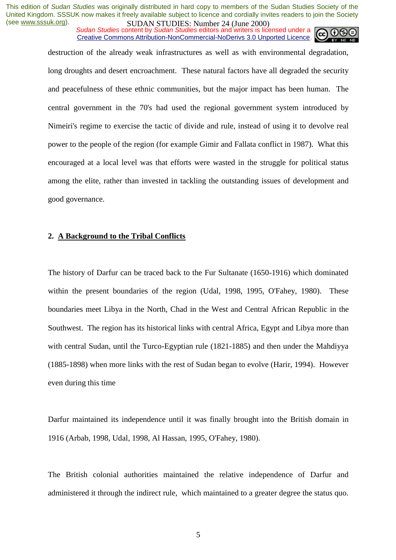*Sudan Studies* content by *Sudan Studies* editors and writers is licensed under a Creative Commons Attribution-NonCommercial-NoDerivs 3.0 Unported Licence.



destruction of the already weak infrastructures as well as with environmental degradation, long droughts and desert encroachment. These natural factors have all degraded the security and peacefulness of these ethnic communities, but the major impact has been human. The central government in the 70's had used the regional government system introduced by Nimeiri's regime to exercise the tactic of divide and rule, instead of using it to devolve real power to the people of the region (for example Gimir and Fallata conflict in 1987). What this encouraged at a local level was that efforts were wasted in the struggle for political status among the elite, rather than invested in tackling the outstanding issues of development and good governance.

#### **2. A Background to the Tribal Conflicts**

The history of Darfur can be traced back to the Fur Sultanate (1650-1916) which dominated within the present boundaries of the region (Udal, 1998, 1995, O'Fahey, 1980). These boundaries meet Libya in the North, Chad in the West and Central African Republic in the Southwest. The region has its historical links with central Africa, Egypt and Libya more than with central Sudan, until the Turco-Egyptian rule (1821-1885) and then under the Mahdiyya (1885-1898) when more links with the rest of Sudan began to evolve (Harir, 1994). However even during this time

Darfur maintained its independence until it was finally brought into the British domain in 1916 (Arbab, 1998, Udal, 1998, Al Hassan, 1995, O'Fahey, 1980).

The British colonial authorities maintained the relative independence of Darfur and administered it through the indirect rule, which maintained to a greater degree the status quo.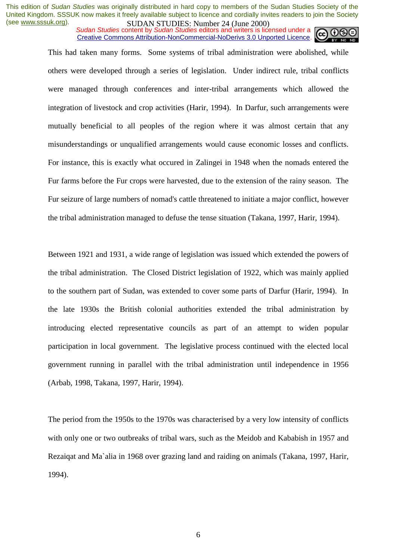*Sudan Studies* content by *Sudan Studies* editors and writers is licensed under a Creative Commons Attribution-NonCommercial-NoDerivs 3.0 Unported Licence.

This had taken many forms. Some systems of tribal administration were abolished, while others were developed through a series of legislation. Under indirect rule, tribal conflicts were managed through conferences and inter-tribal arrangements which allowed the integration of livestock and crop activities (Harir, 1994). In Darfur, such arrangements were mutually beneficial to all peoples of the region where it was almost certain that any misunderstandings or unqualified arrangements would cause economic losses and conflicts. For instance, this is exactly what occured in Zalingei in 1948 when the nomads entered the Fur farms before the Fur crops were harvested, due to the extension of the rainy season. The Fur seizure of large numbers of nomad's cattle threatened to initiate a major conflict, however the tribal administration managed to defuse the tense situation (Takana, 1997, Harir, 1994).

Between 1921 and 1931, a wide range of legislation was issued which extended the powers of the tribal administration. The Closed District legislation of 1922, which was mainly applied to the southern part of Sudan, was extended to cover some parts of Darfur (Harir, 1994). In the late 1930s the British colonial authorities extended the tribal administration by introducing elected representative councils as part of an attempt to widen popular participation in local government. The legislative process continued with the elected local government running in parallel with the tribal administration until independence in 1956 (Arbab, 1998, Takana, 1997, Harir, 1994).

The period from the 1950s to the 1970s was characterised by a very low intensity of conflicts with only one or two outbreaks of tribal wars, such as the Meidob and Kababish in 1957 and Rezaiqat and Ma`alia in 1968 over grazing land and raiding on animals (Takana, 1997, Harir, 1994).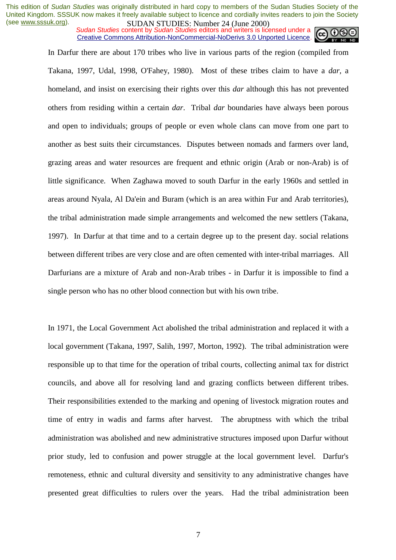*Sudan Studies* content by *Sudan Studies* editors and writers is licensed under a Creative Commons Attribution-NonCommercial-NoDerivs 3.0 Unported Licence.

In Darfur there are about 170 tribes who live in various parts of the region (compiled from Takana, 1997, Udal, 1998, O'Fahey, 1980). Most of these tribes claim to have a *dar*, a homeland, and insist on exercising their rights over this *dar* although this has not prevented others from residing within a certain *dar*. Tribal *dar* boundaries have always been porous and open to individuals; groups of people or even whole clans can move from one part to another as best suits their circumstances. Disputes between nomads and farmers over land, grazing areas and water resources are frequent and ethnic origin (Arab or non-Arab) is of little significance. When Zaghawa moved to south Darfur in the early 1960s and settled in areas around Nyala, Al Da'ein and Buram (which is an area within Fur and Arab territories), the tribal administration made simple arrangements and welcomed the new settlers (Takana, 1997). In Darfur at that time and to a certain degree up to the present day. social relations between different tribes are very close and are often cemented with inter-tribal marriages. All Darfurians are a mixture of Arab and non-Arab tribes - in Darfur it is impossible to find a single person who has no other blood connection but with his own tribe.

In 1971, the Local Government Act abolished the tribal administration and replaced it with a local government (Takana, 1997, Salih, 1997, Morton, 1992). The tribal administration were responsible up to that time for the operation of tribal courts, collecting animal tax for district councils, and above all for resolving land and grazing conflicts between different tribes. Their responsibilities extended to the marking and opening of livestock migration routes and time of entry in wadis and farms after harvest. The abruptness with which the tribal administration was abolished and new administrative structures imposed upon Darfur without prior study, led to confusion and power struggle at the local government level. Darfur's remoteness, ethnic and cultural diversity and sensitivity to any administrative changes have presented great difficulties to rulers over the years. Had the tribal administration been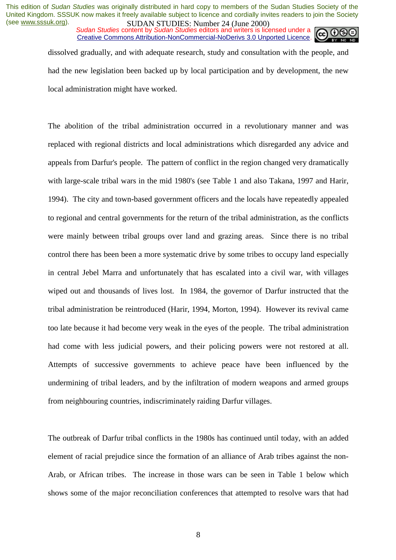*Sudan Studies* content by *Sudan Studies* editors and writers is licensed under a Creative Commons Attribution-NonCommercial-NoDerivs 3.0 Unported Licence.

dissolved gradually, and with adequate research, study and consultation with the people, and had the new legislation been backed up by local participation and by development, the new local administration might have worked.

The abolition of the tribal administration occurred in a revolutionary manner and was replaced with regional districts and local administrations which disregarded any advice and appeals from Darfur's people. The pattern of conflict in the region changed very dramatically with large-scale tribal wars in the mid 1980's (see Table 1 and also Takana, 1997 and Harir, 1994). The city and town-based government officers and the locals have repeatedly appealed to regional and central governments for the return of the tribal administration, as the conflicts were mainly between tribal groups over land and grazing areas. Since there is no tribal control there has been been a more systematic drive by some tribes to occupy land especially in central Jebel Marra and unfortunately that has escalated into a civil war, with villages wiped out and thousands of lives lost. In 1984, the governor of Darfur instructed that the tribal administration be reintroduced (Harir, 1994, Morton, 1994). However its revival came too late because it had become very weak in the eyes of the people. The tribal administration had come with less judicial powers, and their policing powers were not restored at all. Attempts of successive governments to achieve peace have been influenced by the undermining of tribal leaders, and by the infiltration of modern weapons and armed groups from neighbouring countries, indiscriminately raiding Darfur villages.

The outbreak of Darfur tribal conflicts in the 1980s has continued until today, with an added element of racial prejudice since the formation of an alliance of Arab tribes against the non-Arab, or African tribes. The increase in those wars can be seen in Table 1 below which shows some of the major reconciliation conferences that attempted to resolve wars that had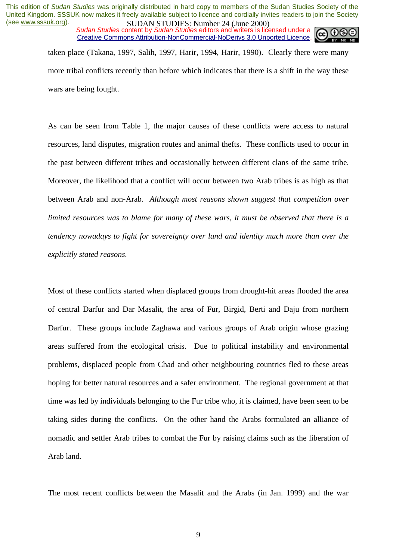*Sudan Studies* content by *Sudan Studies* editors and writers is licensed under a Creative Commons Attribution-NonCommercial-NoDerivs 3.0 Unported Licence.



taken place (Takana, 1997, Salih, 1997, Harir, 1994, Harir, 1990). Clearly there were many more tribal conflicts recently than before which indicates that there is a shift in the way these wars are being fought.

As can be seen from Table 1, the major causes of these conflicts were access to natural resources, land disputes, migration routes and animal thefts. These conflicts used to occur in the past between different tribes and occasionally between different clans of the same tribe. Moreover, the likelihood that a conflict will occur between two Arab tribes is as high as that between Arab and non-Arab. *Although most reasons shown suggest that competition over limited resources was to blame for many of these wars, it must be observed that there is a tendency nowadays to fight for sovereignty over land and identity much more than over the explicitly stated reasons.* 

Most of these conflicts started when displaced groups from drought-hit areas flooded the area of central Darfur and Dar Masalit, the area of Fur, Birgid, Berti and Daju from northern Darfur. These groups include Zaghawa and various groups of Arab origin whose grazing areas suffered from the ecological crisis. Due to political instability and environmental problems, displaced people from Chad and other neighbouring countries fled to these areas hoping for better natural resources and a safer environment. The regional government at that time was led by individuals belonging to the Fur tribe who, it is claimed, have been seen to be taking sides during the conflicts. On the other hand the Arabs formulated an alliance of nomadic and settler Arab tribes to combat the Fur by raising claims such as the liberation of Arab land.

The most recent conflicts between the Masalit and the Arabs (in Jan. 1999) and the war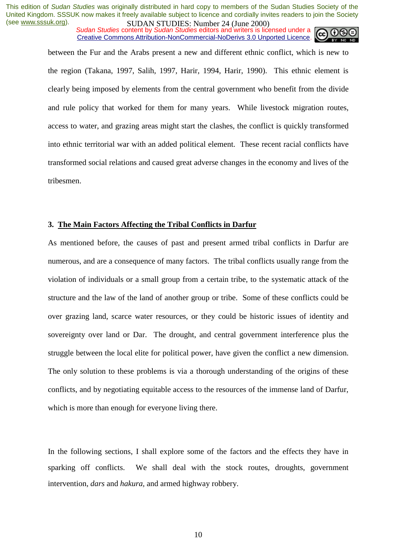*Sudan Studies* content by *Sudan Studies* editors and writers is licensed under a Creative Commons Attribution-NonCommercial-NoDerivs 3.0 Unported Licence.



between the Fur and the Arabs present a new and different ethnic conflict, which is new to the region (Takana, 1997, Salih, 1997, Harir, 1994, Harir, 1990). This ethnic element is clearly being imposed by elements from the central government who benefit from the divide and rule policy that worked for them for many years. While livestock migration routes, access to water, and grazing areas might start the clashes, the conflict is quickly transformed into ethnic territorial war with an added political element. These recent racial conflicts have transformed social relations and caused great adverse changes in the economy and lives of the tribesmen.

#### **3. The Main Factors Affecting the Tribal Conflicts in Darfur**

As mentioned before, the causes of past and present armed tribal conflicts in Darfur are numerous, and are a consequence of many factors. The tribal conflicts usually range from the violation of individuals or a small group from a certain tribe, to the systematic attack of the structure and the law of the land of another group or tribe. Some of these conflicts could be over grazing land, scarce water resources, or they could be historic issues of identity and sovereignty over land or Dar. The drought, and central government interference plus the struggle between the local elite for political power, have given the conflict a new dimension. The only solution to these problems is via a thorough understanding of the origins of these conflicts, and by negotiating equitable access to the resources of the immense land of Darfur, which is more than enough for everyone living there.

In the following sections, I shall explore some of the factors and the effects they have in sparking off conflicts. We shall deal with the stock routes, droughts, government intervention, *dars* and *hakura,* and armed highway robbery.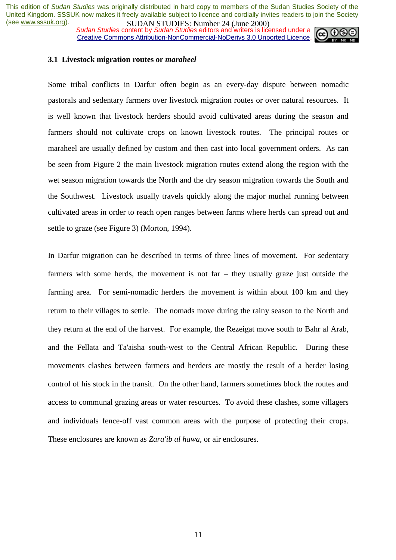**SUDAN STUDES.** NUTTED TO 24 (June 2000)<br>Sudan Studies content by Sudan Studies editors and writers is licensed under a Creative Commons Attribution-NonCommercial-NoDerivs 3.0 Unported Licence.



#### **3.1 Livestock migration routes or** *maraheel*

Some tribal conflicts in Darfur often begin as an every-day dispute between nomadic pastorals and sedentary farmers over livestock migration routes or over natural resources. It is well known that livestock herders should avoid cultivated areas during the season and farmers should not cultivate crops on known livestock routes. The principal routes or maraheel are usually defined by custom and then cast into local government orders. As can be seen from Figure 2 the main livestock migration routes extend along the region with the wet season migration towards the North and the dry season migration towards the South and the Southwest. Livestock usually travels quickly along the major murhal running between cultivated areas in order to reach open ranges between farms where herds can spread out and settle to graze (see Figure 3) (Morton, 1994).

In Darfur migration can be described in terms of three lines of movement. For sedentary farmers with some herds, the movement is not far – they usually graze just outside the farming area. For semi-nomadic herders the movement is within about 100 km and they return to their villages to settle. The nomads move during the rainy season to the North and they return at the end of the harvest. For example, the Rezeigat move south to Bahr al Arab, and the Fellata and Ta'aisha south-west to the Central African Republic. During these movements clashes between farmers and herders are mostly the result of a herder losing control of his stock in the transit. On the other hand, farmers sometimes block the routes and access to communal grazing areas or water resources. To avoid these clashes, some villagers and individuals fence-off vast common areas with the purpose of protecting their crops. These enclosures are known as *Zara'ib al hawa*, or air enclosures.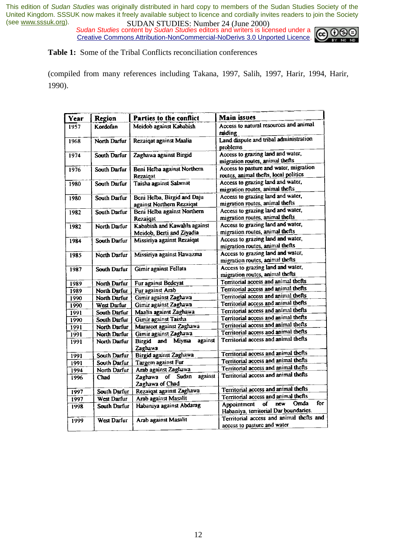*Sudan Studies* content by *Sudan Studies* editors and writers is licensed under a Creative Commons Attribution-NonCommercial-NoDerivs 3.0 Unported Licence.



**Table 1:** Some of the Tribal Conflicts reconciliation conferences

(compiled from many references including Takana, 1997, Salih, 1997, Harir, 1994, Harir, 1990).

| Year | Region       | Parties to the conflict                  | Main issues                              |
|------|--------------|------------------------------------------|------------------------------------------|
| 1957 | Kordofan     | Meidob against Kababish                  | Access to natural resources and animal   |
|      |              |                                          | raidine                                  |
| 1968 | North Darfur | Rezaiqat against Maalia                  | Land dispute and tribal administration   |
|      |              |                                          | problems                                 |
| 1974 | South Darfur | Zaghawa against Birgid                   | Access to grazing land and water,        |
|      |              |                                          | migration routes, animal thefts          |
| 1976 | South Darfur | Beni Helba against Northern              | Access to pasture and water, migration   |
|      |              | Rezaigat                                 | routes, animal thefts, local politics    |
| 1980 | South Darfur | Taisha against Salamat                   | Access to grazing land and water,        |
|      |              |                                          | migration routes, animal thefts          |
| 1980 | South Darfur | Beni Helba, Birgid and Daju              | Access to grazing land and water,        |
|      |              | against Northern Rezaiqat                | migration routes, animal thefts          |
| 1982 | South Darfur | Beni Helba against Northern              | Access to grazing land and water,        |
|      |              | Rezaigat                                 | migration routes, animal thefts          |
| 1982 | North Darfur | Kababish and Kawahla against             | Access to grazing land and water,        |
|      |              | Meidob, Berti and Ziyadia                | migration routes, animal thefts          |
| 1984 | South Darfur | Missiriya against Rezaiqat               | Access to grazing land and water,        |
|      |              |                                          | migration routes, animal thefts          |
| 1985 | North Darfur | Missiriya against Hawazma                | Access to grazing land and water,        |
|      |              |                                          | migration routes, animal thefts          |
| 1987 | South Darfur | Gimir against Fellata                    | Access to grazing land and water,        |
|      |              |                                          | migration routes, animal thefts          |
| 1989 | North Darfur | Fur against Bedeyat                      | Territorial access and animal thefts     |
| 1989 | North Darfur | Fur against Arab                         | Territorial access and animal thefts     |
| 1990 | North Darfur | Gimir against Zaghawa                    | Territorial access and animal thefts     |
| 1990 | West Darfur  | Gimir against Zaghawa                    | Territorial access and animal thefts     |
| 1991 | South Darfur | Maalia against Zaghawa                   | Territorial access and animal thefts     |
| 1990 | South Darfur | Gimir against Taisha                     | Territorial access and animal thefts     |
| 1991 | North Darfur | Marareet against Zaghawa                 | Territorial access and animal thefts     |
| 1991 | North Darfur | Gimir against Zaghawa                    | Territorial access and animal thefts     |
| 1991 | North Darfur | against<br>Miyma<br><b>Birgid</b><br>and | Territorial access and animal thefts     |
|      |              | Zaghawa                                  |                                          |
| 1991 | South Darfur | Birgid against Zaghawa                   | Territorial access and animal thefts     |
| 1991 | South Darfur | Targem against Fur                       | Territorial access and animal thefts     |
| 1994 | North Darfur | Arab against Zaghawa                     | Territorial access and animal thefts     |
| 1996 | <b>Chad</b>  | against<br>Zaghawa of Sudan              | Territorial access and animal thefts     |
|      |              | Zaghawa of Chad                          |                                          |
| 1997 | South Darfur | Rezaigat against Zaghawa                 | Territorial access and animal thefts     |
| 1997 | West Darfur  | Arab against Masalit                     | Territorial access and animal thefts     |
| 1998 | South Darfur | Habaniya against Abdarag                 | for<br>Omda<br>new<br>Appointment<br>of  |
|      |              |                                          | Habaniya, territorial Dar boundaries.    |
| 1999 | West Darfur  | Arab against Masalit                     | Territorial access and animal thefts and |
|      |              |                                          | access to pasture and water              |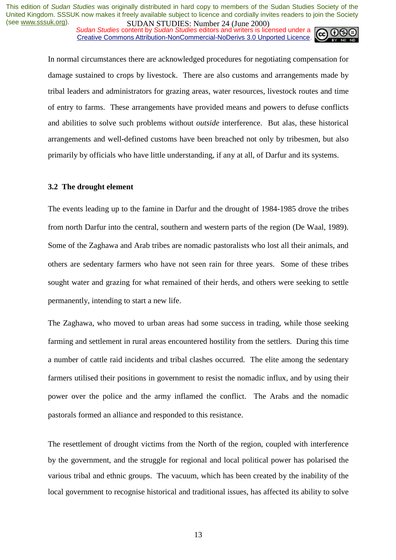**SUDAN STUDIES:** NUTTER (June 2000)<br>Sudan Studies content by Sudan Studies editors and writers is licensed under a Creative Commons Attribution-NonCommercial-NoDerivs 3.0 Unported Licence.



In normal circumstances there are acknowledged procedures for negotiating compensation for damage sustained to crops by livestock. There are also customs and arrangements made by tribal leaders and administrators for grazing areas, water resources, livestock routes and time of entry to farms. These arrangements have provided means and powers to defuse conflicts and abilities to solve such problems without *outside* interference. But alas, these historical arrangements and well-defined customs have been breached not only by tribesmen, but also primarily by officials who have little understanding, if any at all, of Darfur and its systems.

#### **3.2 The drought element**

The events leading up to the famine in Darfur and the drought of 1984-1985 drove the tribes from north Darfur into the central, southern and western parts of the region (De Waal, 1989). Some of the Zaghawa and Arab tribes are nomadic pastoralists who lost all their animals, and others are sedentary farmers who have not seen rain for three years. Some of these tribes sought water and grazing for what remained of their herds, and others were seeking to settle permanently, intending to start a new life.

The Zaghawa, who moved to urban areas had some success in trading, while those seeking farming and settlement in rural areas encountered hostility from the settlers. During this time a number of cattle raid incidents and tribal clashes occurred. The elite among the sedentary farmers utilised their positions in government to resist the nomadic influx, and by using their power over the police and the army inflamed the conflict. The Arabs and the nomadic pastorals formed an alliance and responded to this resistance.

The resettlement of drought victims from the North of the region, coupled with interference by the government, and the struggle for regional and local political power has polarised the various tribal and ethnic groups. The vacuum, which has been created by the inability of the local government to recognise historical and traditional issues, has affected its ability to solve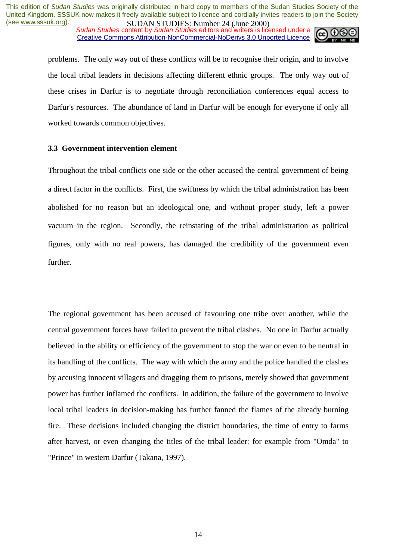**SUDAN STUDIES:** NUTTER (June 2000)<br>Sudan Studies content by Sudan Studies editors and writers is licensed under a Creative Commons Attribution-NonCommercial-NoDerivs 3.0 Unported Licence.



problems. The only way out of these conflicts will be to recognise their origin, and to involve the local tribal leaders in decisions affecting different ethnic groups. The only way out of these crises in Darfur is to negotiate through reconciliation conferences equal access to Darfur's resources. The abundance of land in Darfur will be enough for everyone if only all worked towards common objectives.

#### **3.3 Government intervention element**

Throughout the tribal conflicts one side or the other accused the central government of being a direct factor in the conflicts. First, the swiftness by which the tribal administration has been abolished for no reason but an ideological one, and without proper study, left a power vacuum in the region. Secondly, the reinstating of the tribal administration as political figures, only with no real powers, has damaged the credibility of the government even further.

The regional government has been accused of favouring one tribe over another, while the central government forces have failed to prevent the tribal clashes. No one in Darfur actually believed in the ability or efficiency of the government to stop the war or even to be neutral in its handling of the conflicts. The way with which the army and the police handled the clashes by accusing innocent villagers and dragging them to prisons, merely showed that government power has further inflamed the conflicts. In addition, the failure of the government to involve local tribal leaders in decision-making has further fanned the flames of the already burning fire. These decisions included changing the district boundaries, the time of entry to farms after harvest, or even changing the titles of the tribal leader: for example from "Omda" to "Prince" in western Darfur (Takana, 1997).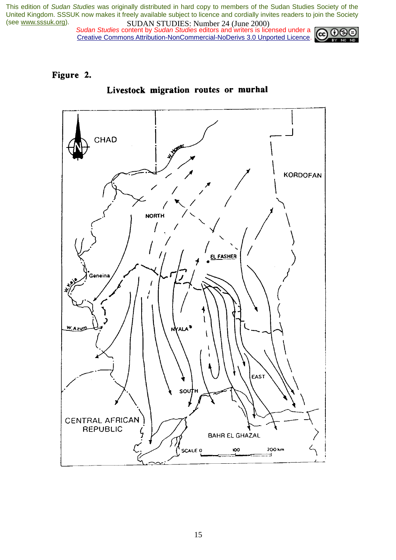*Sudan Studies* content by *Sudan Studies* editors and writers is licensed under a Creative Commons Attribution-NonCommercial-NoDerivs 3.0 Unported Licence.



#### Figure 2.



#### Livestock migration routes or murhal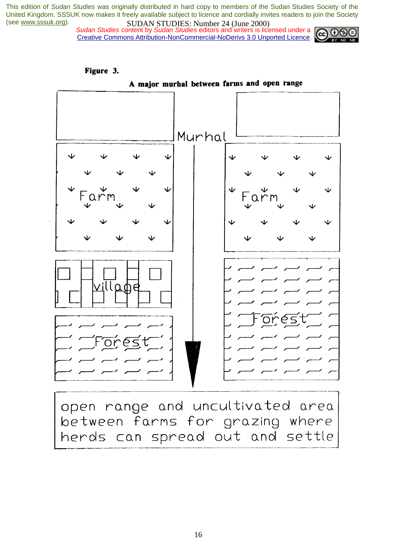Figure 3.

 *Sudan Studies* content by *Sudan Studies* editors and writers is licensed under a Creative Commons Attribution-NonCommercial-NoDerivs 3.0 Unported Licence.





open range and uncultivated area between farms for grazing where herds can spread out and settle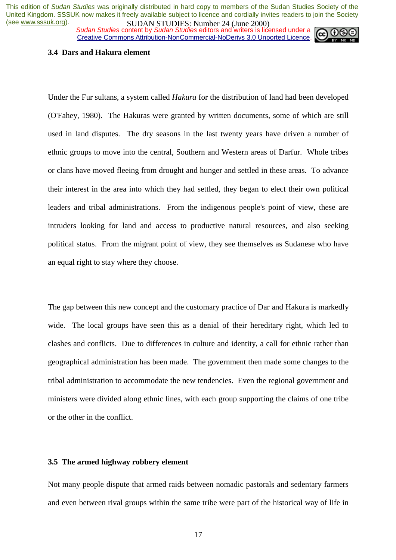*Sudan Studies* content by *Sudan Studies* editors and writers is licensed under a Creative Commons Attribution-NonCommercial-NoDerivs 3.0 Unported Licence.



#### **3.4 Dars and Hakura element**

Under the Fur sultans, a system called *Hakura* for the distribution of land had been developed (O'Fahey, 1980). The Hakuras were granted by written documents, some of which are still used in land disputes. The dry seasons in the last twenty years have driven a number of ethnic groups to move into the central, Southern and Western areas of Darfur. Whole tribes or clans have moved fleeing from drought and hunger and settled in these areas. To advance their interest in the area into which they had settled, they began to elect their own political leaders and tribal administrations. From the indigenous people's point of view, these are intruders looking for land and access to productive natural resources, and also seeking political status. From the migrant point of view, they see themselves as Sudanese who have an equal right to stay where they choose.

The gap between this new concept and the customary practice of Dar and Hakura is markedly wide. The local groups have seen this as a denial of their hereditary right, which led to clashes and conflicts. Due to differences in culture and identity, a call for ethnic rather than geographical administration has been made. The government then made some changes to the tribal administration to accommodate the new tendencies. Even the regional government and ministers were divided along ethnic lines, with each group supporting the claims of one tribe or the other in the conflict.

#### **3.5 The armed highway robbery element**

Not many people dispute that armed raids between nomadic pastorals and sedentary farmers and even between rival groups within the same tribe were part of the historical way of life in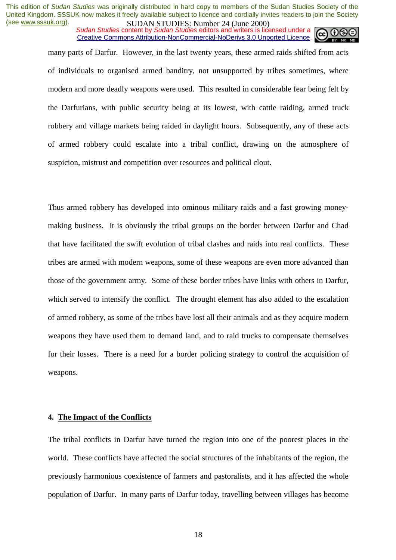*Sudan Studies* content by *Sudan Studies* editors and writers is licensed under a Creative Commons Attribution-NonCommercial-NoDerivs 3.0 Unported Licence.

many parts of Darfur. However, in the last twenty years, these armed raids shifted from acts of individuals to organised armed banditry, not unsupported by tribes sometimes, where modern and more deadly weapons were used. This resulted in considerable fear being felt by the Darfurians, with public security being at its lowest, with cattle raiding, armed truck robbery and village markets being raided in daylight hours. Subsequently, any of these acts of armed robbery could escalate into a tribal conflict, drawing on the atmosphere of suspicion, mistrust and competition over resources and political clout.

Thus armed robbery has developed into ominous military raids and a fast growing moneymaking business. It is obviously the tribal groups on the border between Darfur and Chad that have facilitated the swift evolution of tribal clashes and raids into real conflicts. These tribes are armed with modern weapons, some of these weapons are even more advanced than those of the government army. Some of these border tribes have links with others in Darfur, which served to intensify the conflict. The drought element has also added to the escalation of armed robbery, as some of the tribes have lost all their animals and as they acquire modern weapons they have used them to demand land, and to raid trucks to compensate themselves for their losses. There is a need for a border policing strategy to control the acquisition of weapons.

#### **4. The Impact of the Conflicts**

The tribal conflicts in Darfur have turned the region into one of the poorest places in the world. These conflicts have affected the social structures of the inhabitants of the region, the previously harmonious coexistence of farmers and pastoralists, and it has affected the whole population of Darfur. In many parts of Darfur today, travelling between villages has become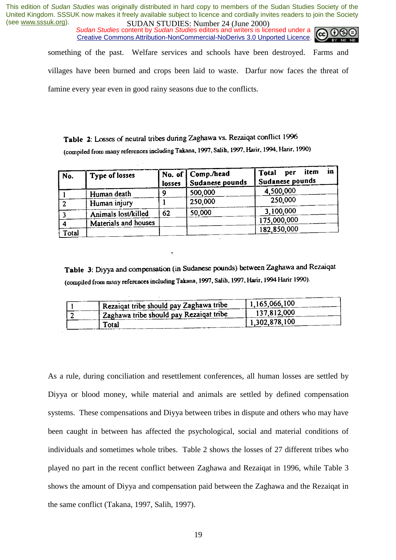*Sudan Studies* content by *Sudan Studies* editors and writers is licensed under a Creative Commons Attribution-NonCommercial-NoDerivs 3.0 Unported Licence.



something of the past. Welfare services and schools have been destroyed. Farms and

villages have been burned and crops been laid to waste. Darfur now faces the threat of

famine every year even in good rainy seasons due to the conflicts.

Table 2: Losses of neutral tribes during Zaghawa vs. Rezaiqat conflict 1996 (compiled from many references including Takana, 1997, Salih, 1997, Harir, 1994, Harir, 1990)

| No.   | Type of losses       | losses | No. of   Comp./head<br>Sudanese pounds | item<br>in<br>Total<br>per<br>Sudanese pounds |
|-------|----------------------|--------|----------------------------------------|-----------------------------------------------|
|       | Human death          | Ω      | 500,000                                | 4,500,000                                     |
|       | Human injury         |        | 250,000                                | 250,000                                       |
|       | Animals lost/killed  | 62     | 50,000                                 | 3,100,000                                     |
|       | Materials and houses |        |                                        | 175,000,000                                   |
|       |                      |        |                                        | 182,850,000                                   |
| Total |                      |        |                                        |                                               |

Table 3: Diyya and compensation (in Sudanese pounds) between Zaghawa and Rezaiqat (compiled from many references including Takana, 1997, Salih, 1997, Harir, 1994 Harir 1990).

|  | Rezaigat tribe should pay Zaghawa tribe              | 1,165,066,100 |
|--|------------------------------------------------------|---------------|
|  | <sup>1</sup> Zaghawa tribe should pay Rezaiqat tribe | 137,812,000   |
|  | Total                                                | 1,302,878,100 |

As a rule, during conciliation and resettlement conferences, all human losses are settled by Diyya or blood money, while material and animals are settled by defined compensation systems. These compensations and Diyya between tribes in dispute and others who may have been caught in between has affected the psychological, social and material conditions of individuals and sometimes whole tribes. Table 2 shows the losses of 27 different tribes who played no part in the recent conflict between Zaghawa and Rezaiqat in 1996, while Table 3 shows the amount of Diyya and compensation paid between the Zaghawa and the Rezaiqat in the same conflict (Takana, 1997, Salih, 1997).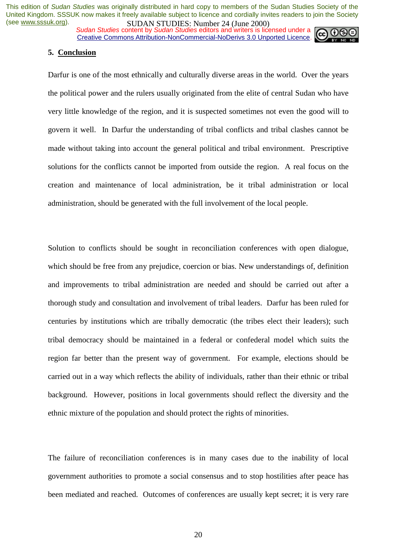*Sudan Studies* content by *Sudan Studies* editors and writers is licensed under a Creative Commons Attribution-NonCommercial-NoDerivs 3.0 Unported Licence.



#### **5. Conclusion**

Darfur is one of the most ethnically and culturally diverse areas in the world. Over the years the political power and the rulers usually originated from the elite of central Sudan who have very little knowledge of the region, and it is suspected sometimes not even the good will to govern it well. In Darfur the understanding of tribal conflicts and tribal clashes cannot be made without taking into account the general political and tribal environment. Prescriptive solutions for the conflicts cannot be imported from outside the region. A real focus on the creation and maintenance of local administration, be it tribal administration or local administration, should be generated with the full involvement of the local people.

Solution to conflicts should be sought in reconciliation conferences with open dialogue, which should be free from any prejudice, coercion or bias. New understandings of, definition and improvements to tribal administration are needed and should be carried out after a thorough study and consultation and involvement of tribal leaders. Darfur has been ruled for centuries by institutions which are tribally democratic (the tribes elect their leaders); such tribal democracy should be maintained in a federal or confederal model which suits the region far better than the present way of government. For example, elections should be carried out in a way which reflects the ability of individuals, rather than their ethnic or tribal background. However, positions in local governments should reflect the diversity and the ethnic mixture of the population and should protect the rights of minorities.

The failure of reconciliation conferences is in many cases due to the inability of local government authorities to promote a social consensus and to stop hostilities after peace has been mediated and reached. Outcomes of conferences are usually kept secret; it is very rare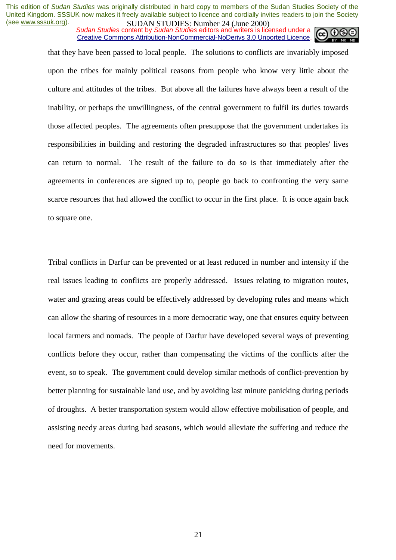*Sudan Studies* content by *Sudan Studies* editors and writers is licensed under a Creative Commons Attribution-NonCommercial-NoDerivs 3.0 Unported Licence.

that they have been passed to local people. The solutions to conflicts are invariably imposed upon the tribes for mainly political reasons from people who know very little about the culture and attitudes of the tribes. But above all the failures have always been a result of the inability, or perhaps the unwillingness, of the central government to fulfil its duties towards those affected peoples. The agreements often presuppose that the government undertakes its responsibilities in building and restoring the degraded infrastructures so that peoples' lives can return to normal. The result of the failure to do so is that immediately after the agreements in conferences are signed up to, people go back to confronting the very same scarce resources that had allowed the conflict to occur in the first place. It is once again back to square one.

Tribal conflicts in Darfur can be prevented or at least reduced in number and intensity if the real issues leading to conflicts are properly addressed. Issues relating to migration routes, water and grazing areas could be effectively addressed by developing rules and means which can allow the sharing of resources in a more democratic way, one that ensures equity between local farmers and nomads. The people of Darfur have developed several ways of preventing conflicts before they occur, rather than compensating the victims of the conflicts after the event, so to speak. The government could develop similar methods of conflict-prevention by better planning for sustainable land use, and by avoiding last minute panicking during periods of droughts. A better transportation system would allow effective mobilisation of people, and assisting needy areas during bad seasons, which would alleviate the suffering and reduce the need for movements.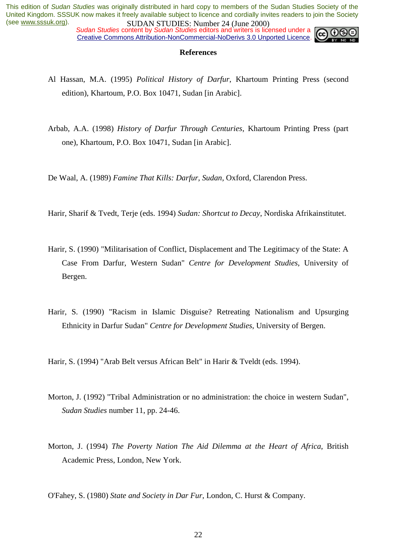*Sudan Studies* content by *Sudan Studies* editors and writers is licensed under a Creative Commons Attribution-NonCommercial-NoDerivs 3.0 Unported Licence.



#### **References**

- Al Hassan, M.A. (1995) *Political History of Darfur*, Khartoum Printing Press (second edition), Khartoum, P.O. Box 10471, Sudan [in Arabic].
- Arbab, A.A. (1998) *History of Darfur Through Centuries*, Khartoum Printing Press (part one), Khartoum, P.O. Box 10471, Sudan [in Arabic].

De Waal, A. (1989) *Famine That Kills: Darfur, Sudan*, Oxford, Clarendon Press.

Harir, Sharif & Tvedt, Terje (eds. 1994) *Sudan: Shortcut to Decay*, Nordiska Afrikainstitutet.

- Harir, S. (1990) "Militarisation of Conflict, Displacement and The Legitimacy of the State: A Case From Darfur, Western Sudan" *Centre for Development Studies*, University of Bergen.
- Harir, S. (1990) "Racism in Islamic Disguise? Retreating Nationalism and Upsurging Ethnicity in Darfur Sudan" *Centre for Development Studies*, University of Bergen.

Harir, S. (1994) "Arab Belt versus African Belt" in Harir & Tveldt (eds. 1994).

- Morton, J. (1992) "Tribal Administration or no administration: the choice in western Sudan", *Sudan Studies* number 11, pp. 24-46.
- Morton, J. (1994) *The Poverty Nation The Aid Dilemma at the Heart of Africa*, British Academic Press, London, New York.

O'Fahey, S. (1980) *State and Society in Dar Fur*, London, C. Hurst & Company.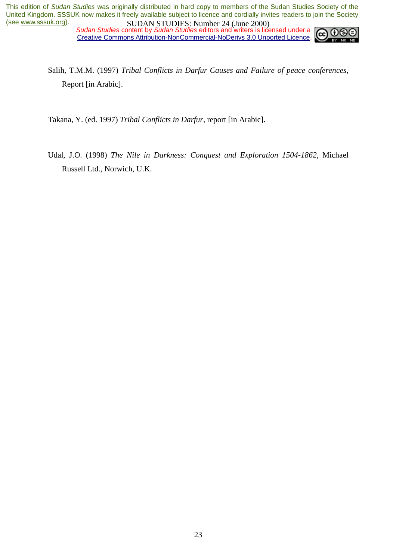*Sudan Studies* content by *Sudan Studies* editors and writers is licensed under a Creative Commons Attribution-NonCommercial-NoDerivs 3.0 Unported Licence.



Salih, T.M.M. (1997) *Tribal Conflicts in Darfur Causes and Failure of peace conferences*, Report [in Arabic].

Takana, Y. (ed. 1997) *Tribal Conflicts in Darfur*, report [in Arabic].

Udal, J.O. (1998) *The Nile in Darkness: Conquest and Exploration 1504-1862*, Michael Russell Ltd., Norwich, U.K.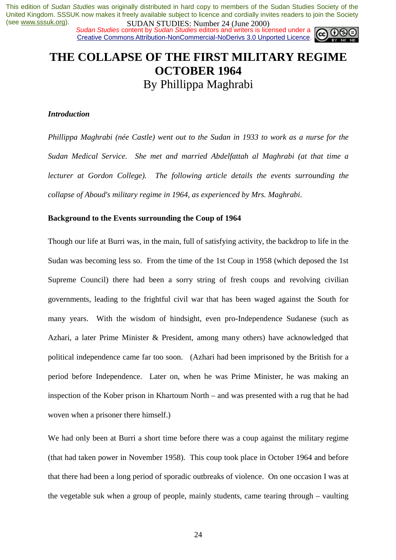*Sudan Studies* content by *Sudan Studies* editors and writers is licensed under a Creative Commons Attribution-NonCommercial-NoDerivs 3.0 Unported Licence.



# **THE COLLAPSE OF THE FIRST MILITARY REGIME OCTOBER 1964**  By Phillippa Maghrabi

#### *Introduction*

*Phillippa Maghrabi (née Castle) went out to the Sudan in 1933 to work as a nurse for the Sudan Medical Service. She met and married Abdelfattah al Maghrabi (at that time a lecturer at Gordon College*). The following article details the events surrounding the *collapse of Aboud's military regime in 1964, as experienced by Mrs. Maghrabi*.

#### **Background to the Events surrounding the Coup of 1964**

Though our life at Burri was, in the main, full of satisfying activity, the backdrop to life in the Sudan was becoming less so. From the time of the 1st Coup in 1958 (which deposed the 1st Supreme Council) there had been a sorry string of fresh coups and revolving civilian governments, leading to the frightful civil war that has been waged against the South for many years. With the wisdom of hindsight, even pro-Independence Sudanese (such as Azhari, a later Prime Minister & President, among many others) have acknowledged that political independence came far too soon. (Azhari had been imprisoned by the British for a period before Independence. Later on, when he was Prime Minister, he was making an inspection of the Kober prison in Khartoum North – and was presented with a rug that he had woven when a prisoner there himself.)

We had only been at Burri a short time before there was a coup against the military regime (that had taken power in November 1958). This coup took place in October 1964 and before that there had been a long period of sporadic outbreaks of violence. On one occasion I was at the vegetable suk when a group of people, mainly students, came tearing through – vaulting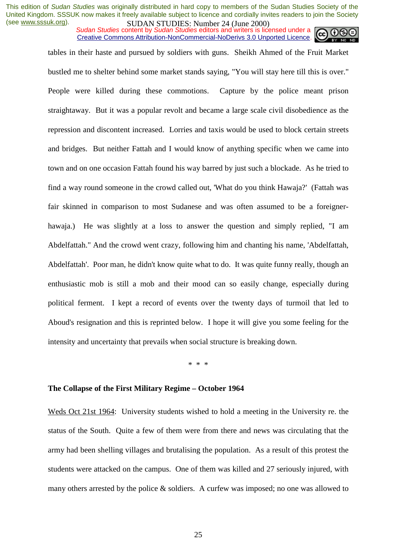*Sudan Studies* content by *Sudan Studies* editors and writers is licensed under a Creative Commons Attribution-NonCommercial-NoDerivs 3.0 Unported Licence.

tables in their haste and pursued by soldiers with guns. Sheikh Ahmed of the Fruit Market bustled me to shelter behind some market stands saying, "You will stay here till this is over." People were killed during these commotions. Capture by the police meant prison straightaway. But it was a popular revolt and became a large scale civil disobedience as the repression and discontent increased. Lorries and taxis would be used to block certain streets and bridges. But neither Fattah and I would know of anything specific when we came into town and on one occasion Fattah found his way barred by just such a blockade. As he tried to find a way round someone in the crowd called out, 'What do you think Hawaja?' (Fattah was fair skinned in comparison to most Sudanese and was often assumed to be a foreignerhawaja.) He was slightly at a loss to answer the question and simply replied, "I am Abdelfattah." And the crowd went crazy, following him and chanting his name, 'Abdelfattah, Abdelfattah'. Poor man, he didn't know quite what to do. It was quite funny really, though an enthusiastic mob is still a mob and their mood can so easily change, especially during political ferment. I kept a record of events over the twenty days of turmoil that led to Aboud's resignation and this is reprinted below. I hope it will give you some feeling for the intensity and uncertainty that prevails when social structure is breaking down.

\* \* \*

#### **The Collapse of the First Military Regime – October 1964**

Weds Oct 21st 1964: University students wished to hold a meeting in the University re. the status of the South. Quite a few of them were from there and news was circulating that the army had been shelling villages and brutalising the population. As a result of this protest the students were attacked on the campus. One of them was killed and 27 seriously injured, with many others arrested by the police & soldiers. A curfew was imposed; no one was allowed to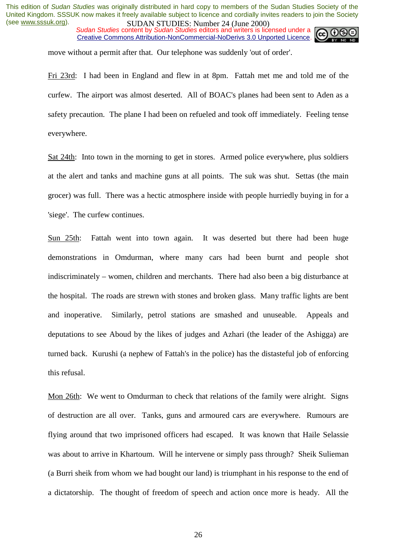*Sudan Studies* content by *Sudan Studies* editors and writers is licensed under a Creative Commons Attribution-NonCommercial-NoDerivs 3.0 Unported Licence.



move without a permit after that. Our telephone was suddenly 'out of order'.

Fri 23rd: I had been in England and flew in at 8pm. Fattah met me and told me of the curfew. The airport was almost deserted. All of BOAC's planes had been sent to Aden as a safety precaution. The plane I had been on refueled and took off immediately. Feeling tense everywhere.

Sat 24th: Into town in the morning to get in stores. Armed police everywhere, plus soldiers at the alert and tanks and machine guns at all points. The suk was shut. Settas (the main grocer) was full. There was a hectic atmosphere inside with people hurriedly buying in for a 'siege'. The curfew continues.

Sun 25th: Fattah went into town again. It was deserted but there had been huge demonstrations in Omdurman, where many cars had been burnt and people shot indiscriminately – women, children and merchants. There had also been a big disturbance at the hospital. The roads are strewn with stones and broken glass. Many traffic lights are bent and inoperative. Similarly, petrol stations are smashed and unuseable. Appeals and deputations to see Aboud by the likes of judges and Azhari (the leader of the Ashigga) are turned back. Kurushi (a nephew of Fattah's in the police) has the distasteful job of enforcing this refusal.

Mon 26th: We went to Omdurman to check that relations of the family were alright. Signs of destruction are all over. Tanks, guns and armoured cars are everywhere. Rumours are flying around that two imprisoned officers had escaped. It was known that Haile Selassie was about to arrive in Khartoum. Will he intervene or simply pass through? Sheik Sulieman (a Burri sheik from whom we had bought our land) is triumphant in his response to the end of a dictatorship. The thought of freedom of speech and action once more is heady. All the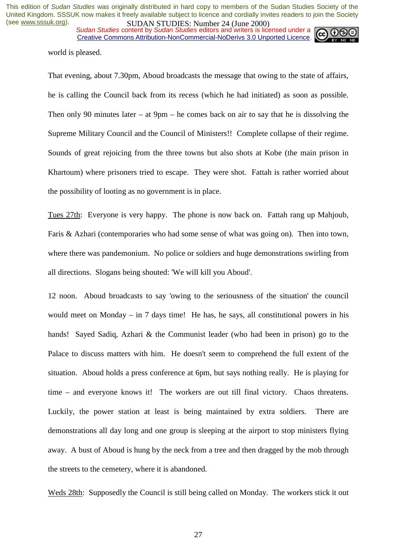*Sudan Studies* content by *Sudan Studies* editors and writers is licensed under a Creative Commons Attribution-NonCommercial-NoDerivs 3.0 Unported Licence.



world is pleased.

That evening, about 7.30pm, Aboud broadcasts the message that owing to the state of affairs, he is calling the Council back from its recess (which he had initiated) as soon as possible. Then only 90 minutes later – at 9pm – he comes back on air to say that he is dissolving the Supreme Military Council and the Council of Ministers!! Complete collapse of their regime. Sounds of great rejoicing from the three towns but also shots at Kobe (the main prison in Khartoum) where prisoners tried to escape. They were shot. Fattah is rather worried about the possibility of looting as no government is in place.

Tues 27th: Everyone is very happy. The phone is now back on. Fattah rang up Mahjoub, Faris & Azhari (contemporaries who had some sense of what was going on). Then into town, where there was pandemonium. No police or soldiers and huge demonstrations swirling from all directions. Slogans being shouted: 'We will kill you Aboud'.

12 noon. Aboud broadcasts to say 'owing to the seriousness of the situation' the council would meet on Monday – in 7 days time! He has, he says, all constitutional powers in his hands! Sayed Sadiq, Azhari & the Communist leader (who had been in prison) go to the Palace to discuss matters with him. He doesn't seem to comprehend the full extent of the situation. Aboud holds a press conference at 6pm, but says nothing really. He is playing for time – and everyone knows it! The workers are out till final victory. Chaos threatens. Luckily, the power station at least is being maintained by extra soldiers. There are demonstrations all day long and one group is sleeping at the airport to stop ministers flying away. A bust of Aboud is hung by the neck from a tree and then dragged by the mob through the streets to the cemetery, where it is abandoned.

Weds 28th: Supposedly the Council is still being called on Monday. The workers stick it out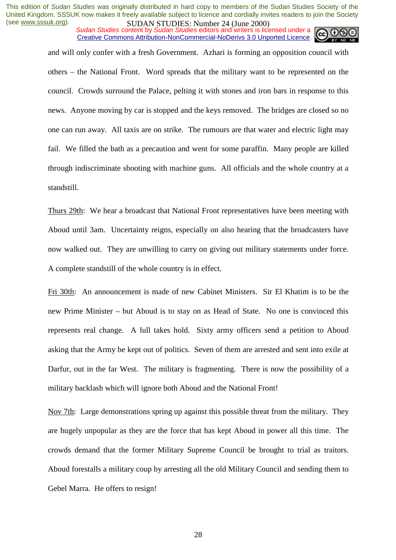*Sudan Studies* content by *Sudan Studies* editors and writers is licensed under a Creative Commons Attribution-NonCommercial-NoDerivs 3.0 Unported Licence.

and will only confer with a fresh Government. Azhari is forming an opposition council with others – the National Front. Word spreads that the military want to be represented on the council. Crowds surround the Palace, pelting it with stones and iron bars in response to this news. Anyone moving by car is stopped and the keys removed. The bridges are closed so no one can run away. All taxis are on strike. The rumours are that water and electric light may fail. We filled the bath as a precaution and went for some paraffin. Many people are killed through indiscriminate shooting with machine guns. All officials and the whole country at a standstill.

Thurs 29th: We hear a broadcast that National Front representatives have been meeting with Aboud until 3am. Uncertainty reigns, especially on also hearing that the broadcasters have now walked out. They are unwilling to carry on giving out military statements under force. A complete standstill of the whole country is in effect.

Fri 30th: An announcement is made of new Cabinet Ministers. Sir El Khatim is to be the new Prime Minister – but Aboud is to stay on as Head of State. No one is convinced this represents real change. A lull takes hold. Sixty army officers send a petition to Aboud asking that the Army be kept out of politics. Seven of them are arrested and sent into exile at Darfur, out in the far West. The military is fragmenting. There is now the possibility of a military backlash which will ignore both Aboud and the National Front!

Nov 7th: Large demonstrations spring up against this possible threat from the military. They are hugely unpopular as they are the force that has kept Aboud in power all this time. The crowds demand that the former Military Supreme Council be brought to trial as traitors. Aboud forestalls a military coup by arresting all the old Military Council and sending them to Gebel Marra. He offers to resign!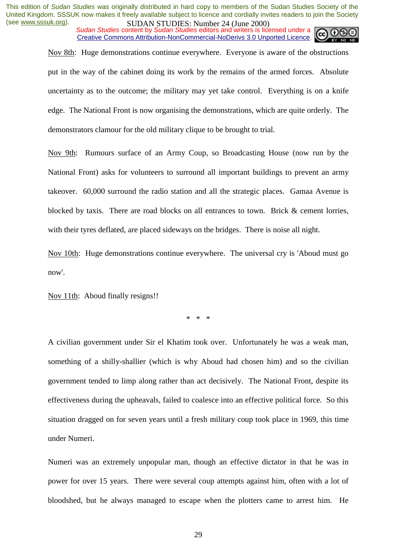*Sudan Studies* content by *Sudan Studies* editors and writers is licensed under a Creative Commons Attribution-NonCommercial-NoDerivs 3.0 Unported Licence.



Nov 8th: Huge demonstrations continue everywhere. Everyone is aware of the obstructions put in the way of the cabinet doing its work by the remains of the armed forces. Absolute uncertainty as to the outcome; the military may yet take control. Everything is on a knife edge. The National Front is now organising the demonstrations, which are quite orderly. The demonstrators clamour for the old military clique to be brought to trial.

Nov 9th: Rumours surface of an Army Coup, so Broadcasting House (now run by the National Front) asks for volunteers to surround all important buildings to prevent an army takeover. 60,000 surround the radio station and all the strategic places. Gamaa Avenue is blocked by taxis. There are road blocks on all entrances to town. Brick & cement lorries, with their tyres deflated, are placed sideways on the bridges. There is noise all night.

Nov 10th: Huge demonstrations continue everywhere. The universal cry is 'Aboud must go now'.

Nov 11th: Aboud finally resigns!!

\* \* \*

A civilian government under Sir el Khatim took over. Unfortunately he was a weak man, something of a shilly-shallier (which is why Aboud had chosen him) and so the civilian government tended to limp along rather than act decisively. The National Front, despite its effectiveness during the upheavals, failed to coalesce into an effective political force. So this situation dragged on for seven years until a fresh military coup took place in 1969, this time under Numeri.

Numeri was an extremely unpopular man, though an effective dictator in that he was in power for over 15 years. There were several coup attempts against him, often with a lot of bloodshed, but he always managed to escape when the plotters came to arrest him. He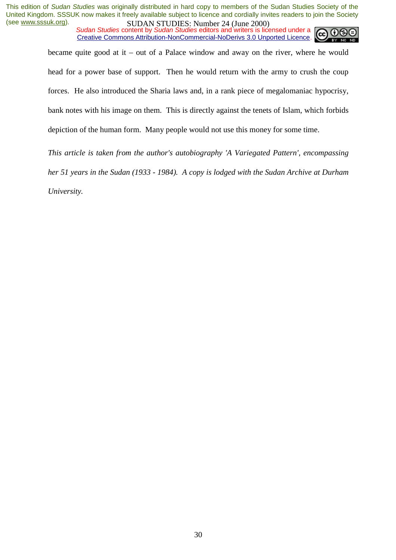*Sudan Studies* content by *Sudan Studies* editors and writers is licensed under a Creative Commons Attribution-NonCommercial-NoDerivs 3.0 Unported Licence.



became quite good at it – out of a Palace window and away on the river, where he would head for a power base of support. Then he would return with the army to crush the coup forces. He also introduced the Sharia laws and, in a rank piece of megalomaniac hypocrisy, bank notes with his image on them. This is directly against the tenets of Islam, which forbids depiction of the human form. Many people would not use this money for some time.

*This article is taken from the author's autobiography 'A Variegated Pattern', encompassing her 51 years in the Sudan (1933 - 1984). A copy is lodged with the Sudan Archive at Durham University.*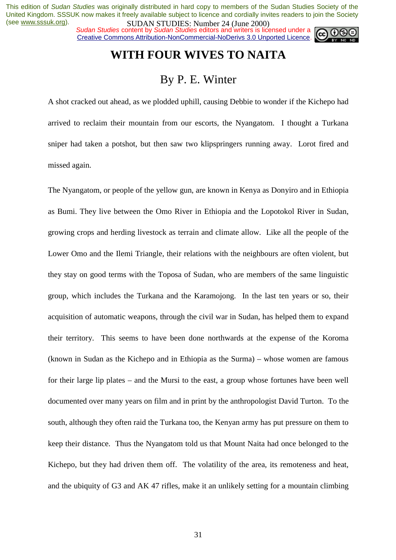*Sudan Studies* content by *Sudan Studies* editors and writers is licensed under a Creative Commons Attribution-NonCommercial-NoDerivs 3.0 Unported Licence.



# **WITH FOUR WIVES TO NAITA**

### By P. E. Winter

A shot cracked out ahead, as we plodded uphill, causing Debbie to wonder if the Kichepo had arrived to reclaim their mountain from our escorts, the Nyangatom. I thought a Turkana sniper had taken a potshot, but then saw two klipspringers running away. Lorot fired and missed again.

The Nyangatom, or people of the yellow gun, are known in Kenya as Donyiro and in Ethiopia as Bumi. They live between the Omo River in Ethiopia and the Lopotokol River in Sudan, growing crops and herding livestock as terrain and climate allow. Like all the people of the Lower Omo and the Ilemi Triangle, their relations with the neighbours are often violent, but they stay on good terms with the Toposa of Sudan, who are members of the same linguistic group, which includes the Turkana and the Karamojong. In the last ten years or so, their acquisition of automatic weapons, through the civil war in Sudan, has helped them to expand their territory. This seems to have been done northwards at the expense of the Koroma (known in Sudan as the Kichepo and in Ethiopia as the Surma) – whose women are famous for their large lip plates – and the Mursi to the east, a group whose fortunes have been well documented over many years on film and in print by the anthropologist David Turton. To the south, although they often raid the Turkana too, the Kenyan army has put pressure on them to keep their distance. Thus the Nyangatom told us that Mount Naita had once belonged to the Kichepo, but they had driven them off. The volatility of the area, its remoteness and heat, and the ubiquity of G3 and AK 47 rifles, make it an unlikely setting for a mountain climbing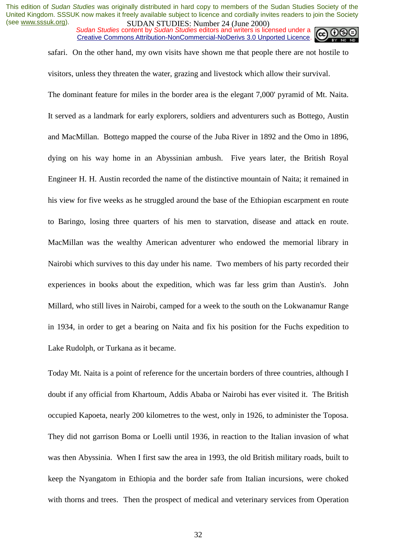*Sudan Studies* content by *Sudan Studies* editors and writers is licensed under a Creative Commons Attribution-NonCommercial-NoDerivs 3.0 Unported Licence.



safari. On the other hand, my own visits have shown me that people there are not hostile to visitors, unless they threaten the water, grazing and livestock which allow their survival.

The dominant feature for miles in the border area is the elegant 7,000' pyramid of Mt. Naita. It served as a landmark for early explorers, soldiers and adventurers such as Bottego, Austin and MacMillan. Bottego mapped the course of the Juba River in 1892 and the Omo in 1896, dying on his way home in an Abyssinian ambush. Five years later, the British Royal Engineer H. H. Austin recorded the name of the distinctive mountain of Naita; it remained in his view for five weeks as he struggled around the base of the Ethiopian escarpment en route to Baringo, losing three quarters of his men to starvation, disease and attack en route. MacMillan was the wealthy American adventurer who endowed the memorial library in Nairobi which survives to this day under his name. Two members of his party recorded their experiences in books about the expedition, which was far less grim than Austin's. John Millard, who still lives in Nairobi, camped for a week to the south on the Lokwanamur Range in 1934, in order to get a bearing on Naita and fix his position for the Fuchs expedition to Lake Rudolph, or Turkana as it became.

Today Mt. Naita is a point of reference for the uncertain borders of three countries, although I doubt if any official from Khartoum, Addis Ababa or Nairobi has ever visited it. The British occupied Kapoeta, nearly 200 kilometres to the west, only in 1926, to administer the Toposa. They did not garrison Boma or Loelli until 1936, in reaction to the Italian invasion of what was then Abyssinia. When I first saw the area in 1993, the old British military roads, built to keep the Nyangatom in Ethiopia and the border safe from Italian incursions, were choked with thorns and trees. Then the prospect of medical and veterinary services from Operation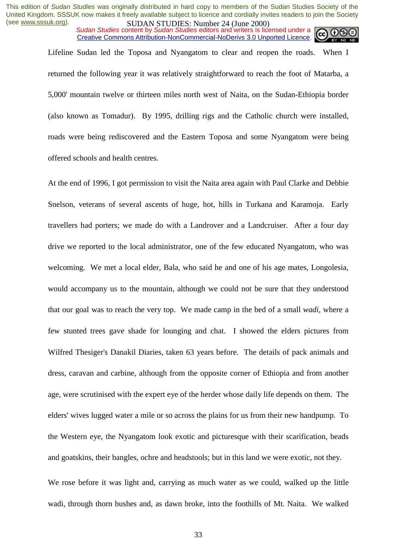*Sudan Studies* content by *Sudan Studies* editors and writers is licensed under a Creative Commons Attribution-NonCommercial-NoDerivs 3.0 Unported Licence.



Lifeline Sudan led the Toposa and Nyangatom to clear and reopen the roads. When I returned the following year it was relatively straightforward to reach the foot of Matarba, a 5,000' mountain twelve or thirteen miles north west of Naita, on the Sudan-Ethiopia border (also known as Tomadur). By 1995, drilling rigs and the Catholic church were installed, roads were being rediscovered and the Eastern Toposa and some Nyangatom were being offered schools and health centres.

At the end of 1996, I got permission to visit the Naita area again with Paul Clarke and Debbie Snelson, veterans of several ascents of huge, hot, hills in Turkana and Karamoja. Early travellers had porters; we made do with a Landrover and a Landcruiser. After a four day drive we reported to the local administrator, one of the few educated Nyangatom, who was welcoming. We met a local elder, Bala, who said he and one of his age mates, Longolesia, would accompany us to the mountain, although we could not be sure that they understood that our goal was to reach the very top. We made camp in the bed of a small *wadi*, where a few stunted trees gave shade for lounging and chat. I showed the elders pictures from Wilfred Thesiger's Danakil Diaries, taken 63 years before. The details of pack animals and dress, caravan and carbine, although from the opposite corner of Ethiopia and from another age, were scrutinised with the expert eye of the herder whose daily life depends on them. The elders' wives lugged water a mile or so across the plains for us from their new handpump. To the Western eye, the Nyangatom look exotic and picturesque with their scarification, beads and goatskins, their bangles, ochre and headstools; but in this land we were exotic, not they.

We rose before it was light and, carrying as much water as we could, walked up the little wadi, through thorn bushes and, as dawn broke, into the foothills of Mt. Naita. We walked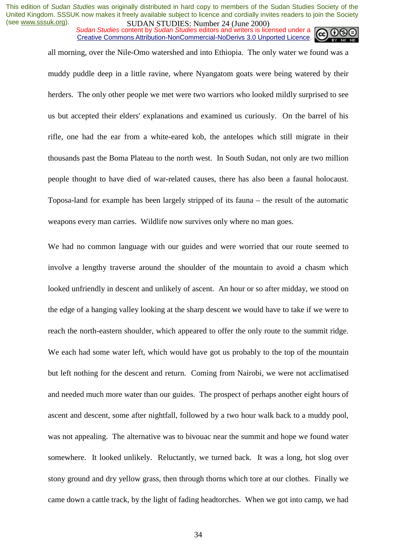*Sudan Studies* content by *Sudan Studies* editors and writers is licensed under a Creative Commons Attribution-NonCommercial-NoDerivs 3.0 Unported Licence.



all morning, over the Nile-Omo watershed and into Ethiopia. The only water we found was a muddy puddle deep in a little ravine, where Nyangatom goats were being watered by their herders. The only other people we met were two warriors who looked mildly surprised to see us but accepted their elders' explanations and examined us curiously. On the barrel of his rifle, one had the ear from a white-eared kob, the antelopes which still migrate in their thousands past the Boma Plateau to the north west. In South Sudan, not only are two million people thought to have died of war-related causes, there has also been a faunal holocaust. Toposa-land for example has been largely stripped of its fauna – the result of the automatic weapons every man carries. Wildlife now survives only where no man goes.

We had no common language with our guides and were worried that our route seemed to involve a lengthy traverse around the shoulder of the mountain to avoid a chasm which looked unfriendly in descent and unlikely of ascent. An hour or so after midday, we stood on the edge of a hanging valley looking at the sharp descent we would have to take if we were to reach the north-eastern shoulder, which appeared to offer the only route to the summit ridge. We each had some water left, which would have got us probably to the top of the mountain but left nothing for the descent and return. Coming from Nairobi, we were not acclimatised and needed much more water than our guides. The prospect of perhaps another eight hours of ascent and descent, some after nightfall, followed by a two hour walk back to a muddy pool, was not appealing. The alternative was to bivouac near the summit and hope we found water somewhere. It looked unlikely. Reluctantly, we turned back. It was a long, hot slog over stony ground and dry yellow grass, then through thorns which tore at our clothes. Finally we came down a cattle track, by the light of fading headtorches. When we got into camp, we had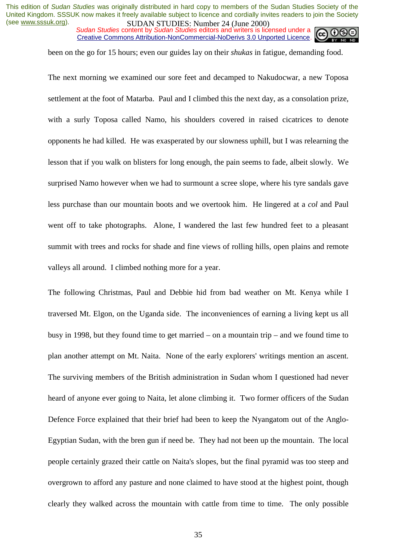*Sudan Studies* content by *Sudan Studies* editors and writers is licensed under a Creative Commons Attribution-NonCommercial-NoDerivs 3.0 Unported Licence.



been on the go for 15 hours; even our guides lay on their *shukas* in fatigue, demanding food.

The next morning we examined our sore feet and decamped to Nakudocwar, a new Toposa settlement at the foot of Matarba. Paul and I climbed this the next day, as a consolation prize, with a surly Toposa called Namo, his shoulders covered in raised cicatrices to denote opponents he had killed. He was exasperated by our slowness uphill, but I was relearning the lesson that if you walk on blisters for long enough, the pain seems to fade, albeit slowly. We surprised Namo however when we had to surmount a scree slope, where his tyre sandals gave less purchase than our mountain boots and we overtook him. He lingered at a *col* and Paul went off to take photographs. Alone, I wandered the last few hundred feet to a pleasant summit with trees and rocks for shade and fine views of rolling hills, open plains and remote valleys all around. I climbed nothing more for a year.

The following Christmas, Paul and Debbie hid from bad weather on Mt. Kenya while I traversed Mt. Elgon, on the Uganda side. The inconveniences of earning a living kept us all busy in 1998, but they found time to get married – on a mountain trip – and we found time to plan another attempt on Mt. Naita. None of the early explorers' writings mention an ascent. The surviving members of the British administration in Sudan whom I questioned had never heard of anyone ever going to Naita, let alone climbing it. Two former officers of the Sudan Defence Force explained that their brief had been to keep the Nyangatom out of the Anglo-Egyptian Sudan, with the bren gun if need be. They had not been up the mountain. The local people certainly grazed their cattle on Naita's slopes, but the final pyramid was too steep and overgrown to afford any pasture and none claimed to have stood at the highest point, though clearly they walked across the mountain with cattle from time to time. The only possible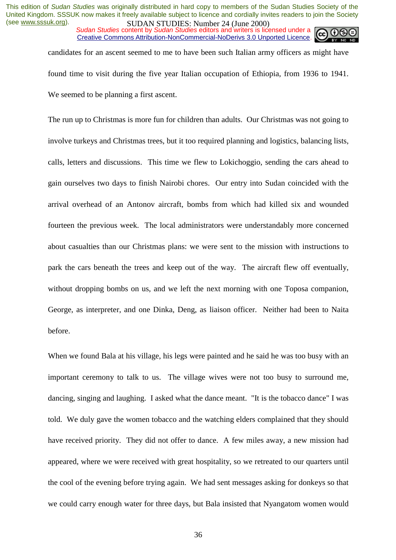*Sudan Studies* content by *Sudan Studies* editors and writers is licensed under a Creative Commons Attribution-NonCommercial-NoDerivs 3.0 Unported Licence.

candidates for an ascent seemed to me to have been such Italian army officers as might have found time to visit during the five year Italian occupation of Ethiopia, from 1936 to 1941. We seemed to be planning a first ascent.

The run up to Christmas is more fun for children than adults. Our Christmas was not going to involve turkeys and Christmas trees, but it too required planning and logistics, balancing lists, calls, letters and discussions. This time we flew to Lokichoggio, sending the cars ahead to gain ourselves two days to finish Nairobi chores. Our entry into Sudan coincided with the arrival overhead of an Antonov aircraft, bombs from which had killed six and wounded fourteen the previous week. The local administrators were understandably more concerned about casualties than our Christmas plans: we were sent to the mission with instructions to park the cars beneath the trees and keep out of the way. The aircraft flew off eventually, without dropping bombs on us, and we left the next morning with one Toposa companion, George, as interpreter, and one Dinka, Deng, as liaison officer. Neither had been to Naita before.

When we found Bala at his village, his legs were painted and he said he was too busy with an important ceremony to talk to us. The village wives were not too busy to surround me, dancing, singing and laughing. I asked what the dance meant. "It is the tobacco dance" I was told. We duly gave the women tobacco and the watching elders complained that they should have received priority. They did not offer to dance. A few miles away, a new mission had appeared, where we were received with great hospitality, so we retreated to our quarters until the cool of the evening before trying again. We had sent messages asking for donkeys so that we could carry enough water for three days, but Bala insisted that Nyangatom women would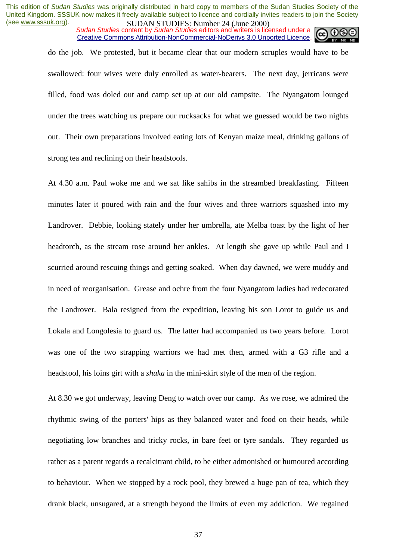*Sudan Studies* content by *Sudan Studies* editors and writers is licensed under a Creative Commons Attribution-NonCommercial-NoDerivs 3.0 Unported Licence.



do the job. We protested, but it became clear that our modern scruples would have to be swallowed: four wives were duly enrolled as water-bearers. The next day, jerricans were filled, food was doled out and camp set up at our old campsite. The Nyangatom lounged under the trees watching us prepare our rucksacks for what we guessed would be two nights out. Their own preparations involved eating lots of Kenyan maize meal, drinking gallons of strong tea and reclining on their headstools.

At 4.30 a.m. Paul woke me and we sat like sahibs in the streambed breakfasting. Fifteen minutes later it poured with rain and the four wives and three warriors squashed into my Landrover. Debbie, looking stately under her umbrella, ate Melba toast by the light of her headtorch, as the stream rose around her ankles. At length she gave up while Paul and I scurried around rescuing things and getting soaked. When day dawned, we were muddy and in need of reorganisation. Grease and ochre from the four Nyangatom ladies had redecorated the Landrover. Bala resigned from the expedition, leaving his son Lorot to guide us and Lokala and Longolesia to guard us. The latter had accompanied us two years before. Lorot was one of the two strapping warriors we had met then, armed with a G3 rifle and a headstool, his loins girt with a *shuka* in the mini-skirt style of the men of the region.

At 8.30 we got underway, leaving Deng to watch over our camp. As we rose, we admired the rhythmic swing of the porters' hips as they balanced water and food on their heads, while negotiating low branches and tricky rocks, in bare feet or tyre sandals. They regarded us rather as a parent regards a recalcitrant child, to be either admonished or humoured according to behaviour. When we stopped by a rock pool, they brewed a huge pan of tea, which they drank black, unsugared, at a strength beyond the limits of even my addiction. We regained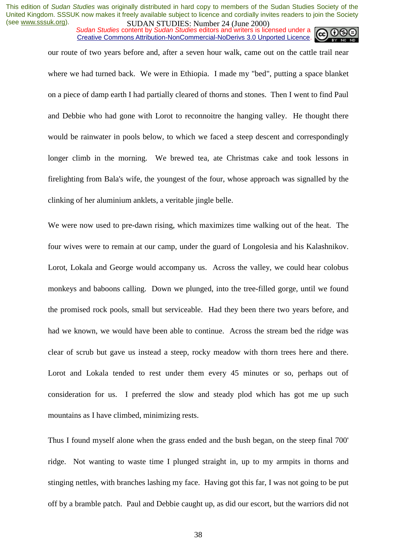*Sudan Studies* content by *Sudan Studies* editors and writers is licensed under a Creative Commons Attribution-NonCommercial-NoDerivs 3.0 Unported Licence.



our route of two years before and, after a seven hour walk, came out on the cattle trail near where we had turned back. We were in Ethiopia. I made my "bed", putting a space blanket on a piece of damp earth I had partially cleared of thorns and stones. Then I went to find Paul and Debbie who had gone with Lorot to reconnoitre the hanging valley. He thought there would be rainwater in pools below, to which we faced a steep descent and correspondingly longer climb in the morning. We brewed tea, ate Christmas cake and took lessons in firelighting from Bala's wife, the youngest of the four, whose approach was signalled by the clinking of her aluminium anklets, a veritable jingle belle.

We were now used to pre-dawn rising, which maximizes time walking out of the heat. The four wives were to remain at our camp, under the guard of Longolesia and his Kalashnikov. Lorot, Lokala and George would accompany us. Across the valley, we could hear colobus monkeys and baboons calling. Down we plunged, into the tree-filled gorge, until we found the promised rock pools, small but serviceable. Had they been there two years before, and had we known, we would have been able to continue. Across the stream bed the ridge was clear of scrub but gave us instead a steep, rocky meadow with thorn trees here and there. Lorot and Lokala tended to rest under them every 45 minutes or so, perhaps out of consideration for us. I preferred the slow and steady plod which has got me up such mountains as I have climbed, minimizing rests.

Thus I found myself alone when the grass ended and the bush began, on the steep final 700' ridge. Not wanting to waste time I plunged straight in, up to my armpits in thorns and stinging nettles, with branches lashing my face. Having got this far, I was not going to be put off by a bramble patch. Paul and Debbie caught up, as did our escort, but the warriors did not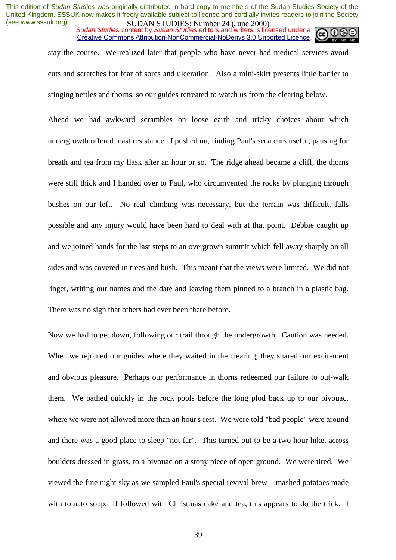*Sudan Studies* content by *Sudan Studies* editors and writers is licensed under a Creative Commons Attribution-NonCommercial-NoDerivs 3.0 Unported Licence.

stay the course. We realized later that people who have never had medical services avoid cuts and scratches for fear of sores and ulceration. Also a mini-skirt presents little barrier to stinging nettles and thorns, so our guides retreated to watch us from the clearing below.

Ahead we had awkward scrambles on loose earth and tricky choices about which undergrowth offered least resistance. I pushed on, finding Paul's secateurs useful, pausing for breath and tea from my flask after an hour or so. The ridge ahead became a cliff, the thorns were still thick and I handed over to Paul, who circumvented the rocks by plunging through bushes on our left. No real climbing was necessary, but the terrain was difficult, falls possible and any injury would have been hard to deal with at that point. Debbie caught up and we joined hands for the last steps to an overgrown summit which fell away sharply on all sides and was covered in trees and bush. This meant that the views were limited. We did not linger, writing our names and the date and leaving them pinned to a branch in a plastic bag. There was no sign that others had ever been there before.

Now we had to get down, following our trail through the undergrowth. Caution was needed. When we rejoined our guides where they waited in the clearing, they shared our excitement and obvious pleasure. Perhaps our performance in thorns redeemed our failure to out-walk them. We bathed quickly in the rock pools before the long plod back up to our bivouac, where we were not allowed more than an hour's rest. We were told "bad people" were around and there was a good place to sleep "not far". This turned out to be a two hour hike, across boulders dressed in grass, to a bivouac on a stony piece of open ground. We were tired. We viewed the fine night sky as we sampled Paul's special revival brew – mashed potatoes made with tomato soup. If followed with Christmas cake and tea, this appears to do the trick. I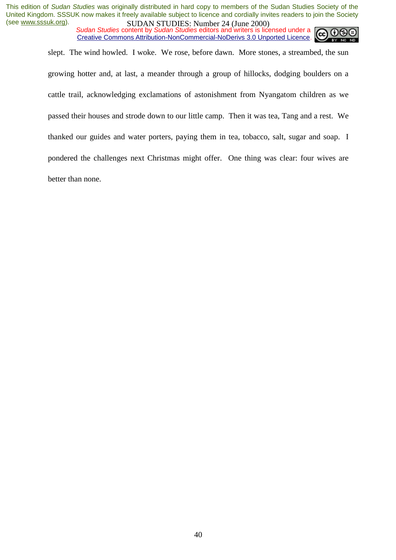*Sudan Studies* content by *Sudan Studies* editors and writers is licensed under a Creative Commons Attribution-NonCommercial-NoDerivs 3.0 Unported Licence.



slept. The wind howled. I woke. We rose, before dawn. More stones, a streambed, the sun growing hotter and, at last, a meander through a group of hillocks, dodging boulders on a cattle trail, acknowledging exclamations of astonishment from Nyangatom children as we passed their houses and strode down to our little camp. Then it was tea, Tang and a rest. We thanked our guides and water porters, paying them in tea, tobacco, salt, sugar and soap. I pondered the challenges next Christmas might offer. One thing was clear: four wives are better than none.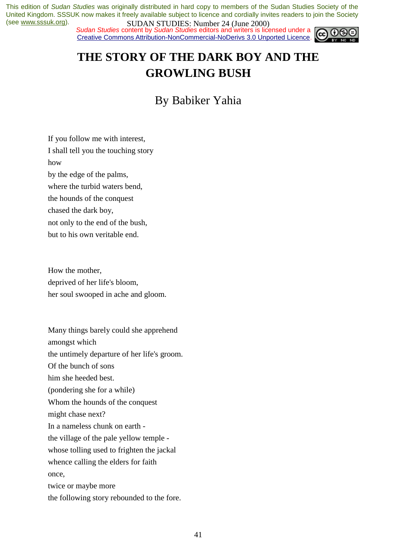*Sudan Studies* content by *Sudan Studies* editors and writers is licensed under a Creative Commons Attribution-NonCommercial-NoDerivs 3.0 Unported Licence.



# **THE STORY OF THE DARK BOY AND THE GROWLING BUSH**

By Babiker Yahia

If you follow me with interest, I shall tell you the touching story how by the edge of the palms, where the turbid waters bend, the hounds of the conquest chased the dark boy, not only to the end of the bush, but to his own veritable end.

How the mother, deprived of her life's bloom, her soul swooped in ache and gloom.

Many things barely could she apprehend amongst which the untimely departure of her life's groom. Of the bunch of sons him she heeded best. (pondering she for a while) Whom the hounds of the conquest might chase next? In a nameless chunk on earth the village of the pale yellow temple whose tolling used to frighten the jackal whence calling the elders for faith once, twice or maybe more the following story rebounded to the fore.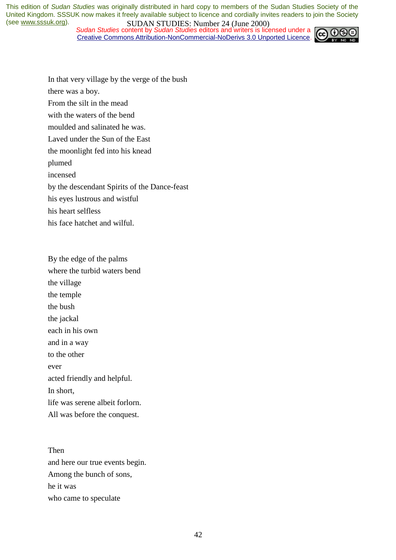*Sudan Studies* content by *Sudan Studies* editors and writers is licensed under a Creative Commons Attribution-NonCommercial-NoDerivs 3.0 Unported Licence.



In that very village by the verge of the bush

there was a boy.

From the silt in the mead

with the waters of the bend

moulded and salinated he was.

Laved under the Sun of the East

the moonlight fed into his knead

plumed

incensed

by the descendant Spirits of the Dance-feast

his eyes lustrous and wistful

his heart selfless

his face hatchet and wilful.

By the edge of the palms where the turbid waters bend the village the temple the bush the jackal each in his own and in a way to the other ever acted friendly and helpful. In short, life was serene albeit forlorn. All was before the conquest.

Then and here our true events begin. Among the bunch of sons, he it was who came to speculate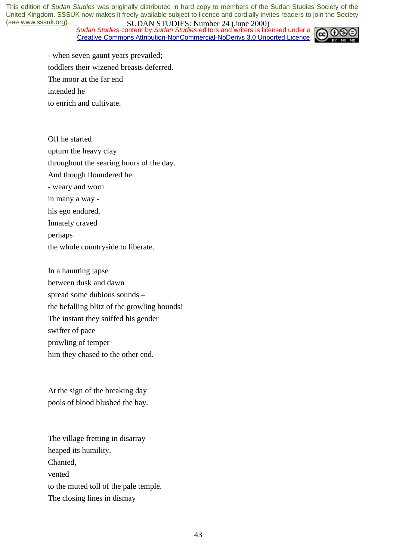*Sudan Studies* content by *Sudan Studies* editors and writers is licensed under a Creative Commons Attribution-NonCommercial-NoDerivs 3.0 Unported Licence.



- when seven gaunt years prevailed; toddlers their wizened breasts deferred. The moor at the far end intended he to enrich and cultivate.

Off he started upturn the heavy clay throughout the searing hours of the day. And though floundered he - weary and worn in many a way his ego endured. Innately craved perhaps the whole countryside to liberate.

In a haunting lapse between dusk and dawn spread some dubious sounds – the befalling blitz of the growling hounds! The instant they sniffed his gender swifter of pace prowling of temper him they chased to the other end.

At the sign of the breaking day pools of blood blushed the hay.

The village fretting in disarray heaped its humility. Chanted, vented to the muted toll of the pale temple. The closing lines in dismay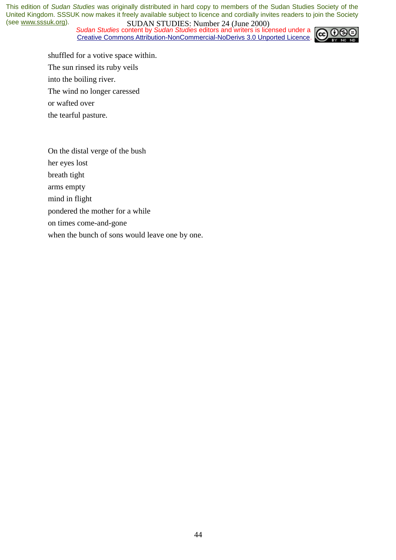*Sudan Studies* content by *Sudan Studies* editors and writers is licensed under a Creative Commons Attribution-NonCommercial-NoDerivs 3.0 Unported Licence.



shuffled for a votive space within. The sun rinsed its ruby veils into the boiling river. The wind no longer caressed or wafted over the tearful pasture.

On the distal verge of the bush

her eyes lost

breath tight

arms empty

mind in flight

pondered the mother for a while

on times come-and-gone

when the bunch of sons would leave one by one.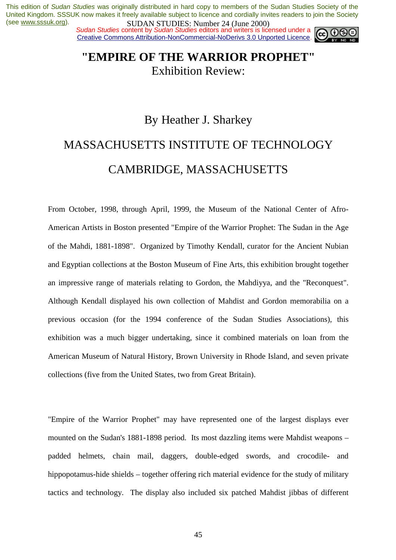**SUDAN STUDES.** NUTTED 1 (Julie 2000)<br>Sudan Studies content by Sudan Studies editors and writers is licensed under a Creative Commons Attribution-NonCommercial-NoDerivs 3.0 Unported Licence.



# **"EMPIRE OF THE WARRIOR PROPHET"**  Exhibition Review:

# By Heather J. Sharkey MASSACHUSETTS INSTITUTE OF TECHNOLOGY CAMBRIDGE, MASSACHUSETTS

From October, 1998, through April, 1999, the Museum of the National Center of Afro-American Artists in Boston presented "Empire of the Warrior Prophet: The Sudan in the Age of the Mahdi, 1881-1898". Organized by Timothy Kendall, curator for the Ancient Nubian and Egyptian collections at the Boston Museum of Fine Arts, this exhibition brought together an impressive range of materials relating to Gordon, the Mahdiyya, and the "Reconquest". Although Kendall displayed his own collection of Mahdist and Gordon memorabilia on a previous occasion (for the 1994 conference of the Sudan Studies Associations), this exhibition was a much bigger undertaking, since it combined materials on loan from the American Museum of Natural History, Brown University in Rhode Island, and seven private collections (five from the United States, two from Great Britain).

"Empire of the Warrior Prophet" may have represented one of the largest displays ever mounted on the Sudan's 1881-1898 period. Its most dazzling items were Mahdist weapons – padded helmets, chain mail, daggers, double-edged swords, and crocodile- and hippopotamus-hide shields – together offering rich material evidence for the study of military tactics and technology. The display also included six patched Mahdist jibbas of different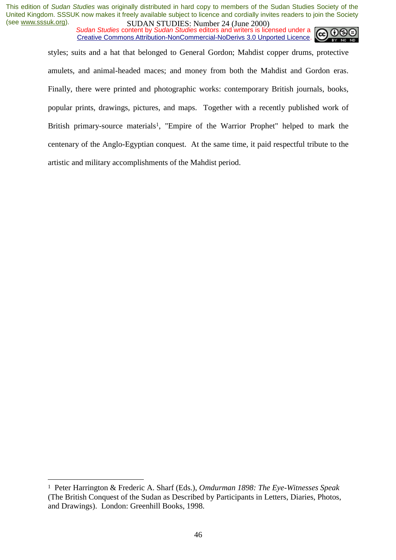*Sudan Studies* content by *Sudan Studies* editors and writers is licensed under a Creative Commons Attribution-NonCommercial-NoDerivs 3.0 Unported Licence.



styles; suits and a hat that belonged to General Gordon; Mahdist copper drums, protective amulets, and animal-headed maces; and money from both the Mahdist and Gordon eras. Finally, there were printed and photographic works: contemporary British journals, books, popular prints, drawings, pictures, and maps. Together with a recently published work of British primary-source materials<sup>1</sup>, "Empire of the Warrior Prophet" helped to mark the centenary of the Anglo-Egyptian conquest. At the same time, it paid respectful tribute to the artistic and military accomplishments of the Mahdist period.

 $\overline{a}$ 

<sup>1</sup> Peter Harrington & Frederic A. Sharf (Eds.), *Omdurman 1898: The Eye-Witnesses Speak*  (The British Conquest of the Sudan as Described by Participants in Letters, Diaries, Photos, and Drawings). London: Greenhill Books, 1998.